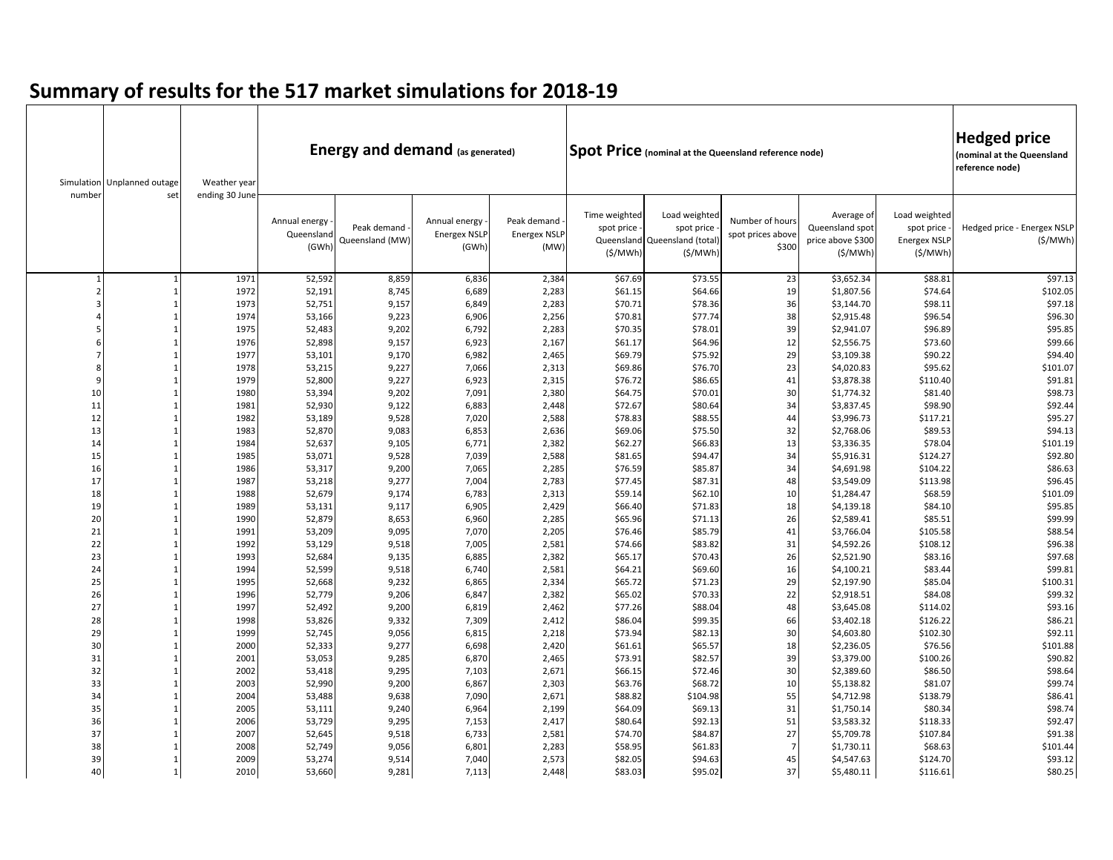| number   | Simulation Unplanned outage<br>set | Weather year | <b>Energy and demand (as generated)</b><br><b>Spot Price</b> (nominal at the Queensland reference node)<br>ending 30 June |                                |                                               |                                            |                                                      |                                                             |                                               |                                                               |                                                               | <b>Hedged price</b><br>(nominal at the Queensland<br>reference node) |
|----------|------------------------------------|--------------|---------------------------------------------------------------------------------------------------------------------------|--------------------------------|-----------------------------------------------|--------------------------------------------|------------------------------------------------------|-------------------------------------------------------------|-----------------------------------------------|---------------------------------------------------------------|---------------------------------------------------------------|----------------------------------------------------------------------|
|          |                                    |              | Annual energy<br>Queensland<br>(GWh)                                                                                      | Peak demand<br>Queensland (MW) | Annual energy<br><b>Energex NSLP</b><br>(GWh) | Peak demand<br><b>Energex NSLP</b><br>(MW) | Time weighted<br>spot price<br>Queensland<br>(S/MWh) | Load weighted<br>spot price<br>Queensland (total<br>(S/MWh) | Number of hours<br>spot prices above<br>\$300 | Average of<br>Queensland spot<br>price above \$300<br>(S/MWh) | Load weighted<br>spot price<br><b>Energex NSLP</b><br>(S/MWh) | Hedged price - Energex NSLP<br>(S/MWh)                               |
|          |                                    | 1971         | 52,592                                                                                                                    | 8,859                          | 6,836                                         | 2,384                                      | \$67.69                                              | \$73.55                                                     | 23                                            | \$3,652.34                                                    | \$88.81                                                       | \$97.13                                                              |
|          |                                    | 1972         | 52,191                                                                                                                    | 8,745                          | 6,689                                         | 2,283                                      | \$61.15                                              | \$64.66                                                     | 19                                            | \$1,807.56                                                    | \$74.64                                                       | \$102.05                                                             |
|          |                                    | 1973         | 52,751                                                                                                                    | 9,157                          | 6,849                                         | 2,283                                      | \$70.71                                              | \$78.36                                                     | 36                                            | \$3,144.70                                                    | \$98.11                                                       | \$97.18                                                              |
|          |                                    | 1974         | 53,166                                                                                                                    | 9,223                          | 6,906                                         | 2,256                                      | \$70.81                                              | \$77.74                                                     | 38                                            | \$2,915.48                                                    | \$96.54                                                       | \$96.30                                                              |
|          |                                    | 1975         | 52,483                                                                                                                    | 9,202                          | 6,792                                         | 2,283                                      | \$70.35                                              | \$78.01                                                     | 39                                            | \$2,941.07                                                    | \$96.89                                                       | \$95.85                                                              |
|          |                                    | 1976         | 52,898                                                                                                                    | 9,157                          | 6,923                                         | 2,167                                      | \$61.17                                              | \$64.96                                                     | 12                                            | \$2,556.75                                                    | \$73.60                                                       | \$99.66                                                              |
|          |                                    | 1977         | 53,101                                                                                                                    | 9,170                          | 6,982                                         | 2,465                                      | \$69.79                                              | \$75.92                                                     | 29                                            | \$3,109.38                                                    | \$90.22                                                       | \$94.40                                                              |
|          |                                    | 1978         | 53,215                                                                                                                    | 9,227                          | 7,066                                         | 2,313                                      | \$69.86                                              | \$76.70                                                     | 23                                            | \$4,020.83                                                    | \$95.62                                                       | \$101.07                                                             |
|          |                                    | 1979         | 52,800                                                                                                                    | 9,227                          | 6,923                                         | 2,315                                      | \$76.72                                              | \$86.65                                                     | 41                                            | \$3,878.38                                                    | \$110.40                                                      | \$91.81                                                              |
| 10       |                                    | 1980         | 53,394                                                                                                                    | 9,202                          | 7,091                                         | 2,380                                      | \$64.75                                              | \$70.01                                                     | 30                                            | \$1,774.32                                                    | \$81.40                                                       | \$98.73                                                              |
| 11       |                                    | 1981         | 52,930                                                                                                                    | 9,122                          | 6,883                                         | 2,448                                      | \$72.67                                              | \$80.64                                                     | 34                                            | \$3,837.45                                                    | \$98.90                                                       | \$92.44                                                              |
| 12       |                                    | 1982         | 53,189                                                                                                                    | 9,528                          | 7,020                                         | 2,588                                      | \$78.83                                              | \$88.55                                                     | 44                                            | \$3,996.73                                                    | \$117.21                                                      | \$95.27                                                              |
| 13       |                                    | 1983         | 52,870                                                                                                                    | 9,083                          | 6,853                                         | 2,636                                      | \$69.06                                              | \$75.50                                                     | 32                                            | \$2,768.06                                                    | \$89.53                                                       | \$94.13                                                              |
| 14       |                                    | 1984         | 52,637                                                                                                                    | 9,105                          | 6,771                                         | 2,382                                      | \$62.27                                              | \$66.83                                                     | 13                                            | \$3,336.35                                                    | \$78.04                                                       | \$101.19                                                             |
| 15       |                                    | 1985         | 53,071                                                                                                                    | 9,528                          | 7,039                                         | 2,588                                      | \$81.65                                              | \$94.47                                                     | 34                                            | \$5,916.31                                                    | \$124.27                                                      | \$92.80                                                              |
| 16       |                                    | 1986         | 53,317                                                                                                                    | 9,200                          | 7,065                                         | 2,285                                      | \$76.59                                              | \$85.87                                                     | 34                                            | \$4,691.98                                                    | \$104.22                                                      | \$86.63                                                              |
| 17       |                                    | 1987         | 53,218                                                                                                                    | 9,277                          | 7,004                                         | 2,783                                      | \$77.45                                              | \$87.31                                                     | 48                                            | \$3,549.09                                                    | \$113.98                                                      | \$96.45                                                              |
| 18       |                                    | 1988         | 52,679                                                                                                                    | 9,174                          | 6,783                                         | 2,313                                      | \$59.14                                              | \$62.10                                                     | 10                                            | \$1,284.47                                                    | \$68.59                                                       | \$101.09                                                             |
| 19       |                                    | 1989         | 53,131                                                                                                                    | 9,117                          | 6,905                                         | 2,429                                      | \$66.40                                              | \$71.83                                                     | 18                                            | \$4,139.18                                                    | \$84.10                                                       | \$95.85                                                              |
| 20       |                                    | 1990         | 52,879                                                                                                                    | 8,653                          | 6,960                                         | 2,285                                      | \$65.96                                              | \$71.13                                                     | 26                                            | \$2,589.41                                                    | \$85.51                                                       | \$99.99                                                              |
| 21       |                                    | 1991         | 53,209                                                                                                                    | 9,095                          | 7,070                                         | 2,205                                      | \$76.46                                              | \$85.79                                                     | 41                                            | \$3,766.04                                                    | \$105.58                                                      | \$88.54                                                              |
| 22       |                                    | 1992         | 53,129                                                                                                                    | 9,518                          | 7,005                                         | 2,581                                      | \$74.66                                              | \$83.82                                                     | 31                                            | \$4,592.26                                                    | \$108.12                                                      | \$96.38                                                              |
| 23<br>24 |                                    | 1993<br>1994 | 52,684                                                                                                                    | 9,135                          | 6,885                                         | 2,382<br>2,581                             | \$65.17                                              | \$70.43                                                     | 26                                            | \$2,521.90                                                    | \$83.16<br>\$83.44                                            | \$97.68                                                              |
| 25       |                                    | 1995         | 52,599<br>52,668                                                                                                          | 9,518<br>9,232                 | 6,740                                         | 2,334                                      | \$64.21<br>\$65.72                                   | \$69.60<br>\$71.23                                          | 16<br>29                                      | \$4,100.21                                                    | \$85.04                                                       | \$99.81                                                              |
| 26       |                                    | 1996         | 52,779                                                                                                                    | 9,206                          | 6,865<br>6,847                                | 2,382                                      | \$65.02                                              | \$70.33                                                     | 22                                            | \$2,197.90<br>\$2,918.51                                      | \$84.08                                                       | \$100.31<br>\$99.32                                                  |
| 27       |                                    | 1997         | 52,492                                                                                                                    | 9,200                          | 6,819                                         | 2,462                                      | \$77.26                                              | \$88.04                                                     | 48                                            | \$3,645.08                                                    | \$114.02                                                      | \$93.16                                                              |
| 28       |                                    | 1998         | 53,826                                                                                                                    | 9,332                          | 7,309                                         | 2,412                                      | \$86.04                                              | \$99.35                                                     | 66                                            | \$3,402.18                                                    | \$126.22                                                      | \$86.21                                                              |
| 29       |                                    | 1999         | 52,745                                                                                                                    | 9,056                          | 6,815                                         | 2,218                                      | \$73.94                                              | \$82.13                                                     | 30                                            | \$4,603.80                                                    | \$102.30                                                      | \$92.11                                                              |
| 30       |                                    | 2000         | 52,333                                                                                                                    | 9,277                          | 6,698                                         | 2,420                                      | \$61.61                                              | \$65.57                                                     | 18                                            | \$2,236.05                                                    | \$76.56                                                       | \$101.88                                                             |
| 31       |                                    | 2001         | 53,053                                                                                                                    | 9,285                          | 6,870                                         | 2,465                                      | \$73.91                                              | \$82.57                                                     | 39                                            | \$3,379.00                                                    | \$100.26                                                      | \$90.82                                                              |
| 32       |                                    | 2002         | 53,418                                                                                                                    | 9,295                          | 7,103                                         | 2,671                                      | \$66.15                                              | \$72.46                                                     | 30                                            | \$2,389.60                                                    | \$86.50                                                       | \$98.64                                                              |
| 33       |                                    | 2003         | 52,990                                                                                                                    | 9,200                          | 6,867                                         | 2,303                                      | \$63.76                                              | \$68.72                                                     | 10                                            | \$5,138.82                                                    | \$81.07                                                       | \$99.74                                                              |
| 34       |                                    | 2004         | 53,488                                                                                                                    | 9,638                          | 7,090                                         | 2,671                                      | \$88.82                                              | \$104.98                                                    | 55                                            | \$4,712.98                                                    | \$138.79                                                      | \$86.41                                                              |
| 35       |                                    | 2005         | 53,111                                                                                                                    | 9,240                          | 6,964                                         | 2,199                                      | \$64.09                                              | \$69.13                                                     | 31                                            | \$1,750.14                                                    | \$80.34                                                       | \$98.74                                                              |
| 36       |                                    | 2006         | 53,729                                                                                                                    | 9,295                          | 7,153                                         | 2,417                                      | \$80.64                                              | \$92.13                                                     | 51                                            | \$3,583.32                                                    | \$118.33                                                      | \$92.47                                                              |
| 37       |                                    | 2007         | 52,645                                                                                                                    | 9,518                          | 6,733                                         | 2,581                                      | \$74.70                                              | \$84.87                                                     | 27                                            | \$5,709.78                                                    | \$107.84                                                      | \$91.38                                                              |
| 38       |                                    | 2008         | 52,749                                                                                                                    | 9,056                          | 6,801                                         | 2,283                                      | \$58.95                                              | \$61.83                                                     | $\overline{7}$                                | \$1,730.11                                                    | \$68.63                                                       | \$101.44                                                             |
| 39       |                                    | 2009         | 53,274                                                                                                                    | 9,514                          | 7,040                                         | 2,573                                      | \$82.05                                              | \$94.63                                                     | 45                                            | \$4,547.63                                                    | \$124.70                                                      | \$93.12                                                              |
| 40       | 1                                  | 2010         | 53,660                                                                                                                    | 9,281                          | 7,113                                         | 2,448                                      | \$83.03                                              | \$95.02                                                     | 37                                            | \$5,480.11                                                    | \$116.61                                                      | \$80.25                                                              |

## **Summary of results for the 517 market simulations for 2018-19**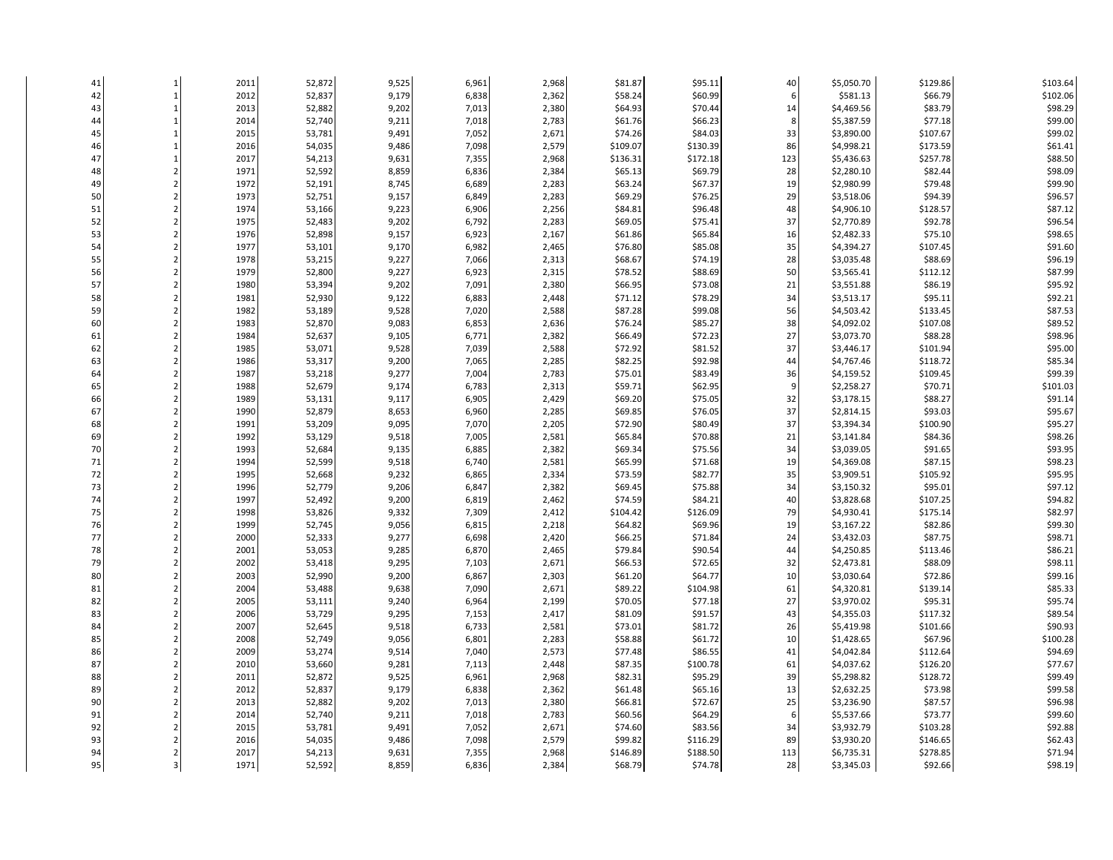| 41 | $\mathbf{1}$            | 2011         | 52,872 | 9,525 | 6,961 | 2,968 | \$81.87            | \$95.11  | 40      | \$5,050.70 | \$129.86           | \$103.64 |
|----|-------------------------|--------------|--------|-------|-------|-------|--------------------|----------|---------|------------|--------------------|----------|
| 42 | $\mathbf{1}$            | 2012         | 52,837 | 9,179 | 6,838 | 2,362 | \$58.24            | \$60.99  | 6       | \$581.13   | \$66.79            | \$102.06 |
| 43 | $\mathbf{1}$            | 2013         | 52,882 | 9,202 | 7,013 | 2,380 | \$64.93            | \$70.44  | 14      | \$4,469.56 | \$83.79            | \$98.29  |
| 44 | $\mathbf{1}$            | 2014         | 52,740 | 9,211 | 7,018 | 2,783 | \$61.76            | \$66.23  | $\bf 8$ | \$5,387.59 | \$77.18            | \$99.00  |
| 45 | $\mathbf{1}$            | 2015         | 53,781 | 9,491 | 7,052 | 2,671 | \$74.26            | \$84.03  | 33      | \$3,890.00 | \$107.67           | \$99.02  |
| 46 | $\mathbf{1}$            | 2016         | 54,035 | 9,486 | 7,098 | 2,579 | \$109.07           | \$130.39 | 86      |            | \$173.59           | \$61.41  |
|    |                         |              |        |       |       |       |                    |          |         | \$4,998.21 |                    | \$88.50  |
| 47 | $\mathbf{1}$            | 2017         | 54,213 | 9,631 | 7,355 | 2,968 | \$136.31           | \$172.18 | 123     | \$5,436.63 | \$257.78           |          |
| 48 | $\overline{2}$          | 1971         | 52,592 | 8,859 | 6,836 | 2,384 | \$65.13            | \$69.79  | 28      | \$2,280.10 | \$82.44            | \$98.09  |
| 49 | $\overline{2}$          | 1972         | 52,191 | 8,745 | 6,689 | 2,283 | \$63.24            | \$67.37  | 19      | \$2,980.99 | \$79.48            | \$99.90  |
| 50 | $\overline{2}$          | 1973         | 52,751 | 9,157 | 6,849 | 2,283 | \$69.29            | \$76.25  | 29      | \$3,518.06 | \$94.39            | \$96.57  |
| 51 | $\overline{2}$          | 1974         | 53,166 | 9,223 | 6,906 | 2,256 | \$84.81            | \$96.48  | 48      | \$4,906.10 | \$128.57           | \$87.12  |
| 52 | $\overline{2}$          | 1975         | 52,483 | 9,202 | 6,792 | 2,283 | \$69.05            | \$75.41  | 37      | \$2,770.89 | \$92.78            | \$96.54  |
| 53 | $\overline{2}$          | 1976         | 52,898 | 9,157 | 6,923 | 2,167 | \$61.86            | \$65.84  | 16      | \$2,482.33 | \$75.10            | \$98.65  |
| 54 | $\overline{2}$          | 1977         | 53,101 | 9,170 | 6,982 | 2,465 | \$76.80            | \$85.08  | 35      | \$4,394.27 | \$107.45           | \$91.60  |
| 55 | $\overline{2}$          | 1978         | 53,215 | 9,227 | 7,066 | 2,313 | \$68.67            | \$74.19  | 28      | \$3,035.48 | \$88.69            | \$96.19  |
| 56 | $\overline{2}$          | 1979         | 52,800 | 9,227 | 6,923 | 2,315 | \$78.52            | \$88.69  | 50      | \$3,565.41 | \$112.12           | \$87.99  |
| 57 | $\overline{2}$          | 1980         | 53,394 | 9,202 | 7,091 | 2,380 | \$66.95            | \$73.08  | 21      | \$3,551.88 | \$86.19            | \$95.92  |
| 58 | $\overline{2}$          | 1981         | 52,930 | 9,122 | 6,883 | 2,448 | \$71.12            | \$78.29  | 34      | \$3,513.17 | \$95.11            | \$92.21  |
| 59 | $\overline{2}$          | 1982         | 53,189 | 9,528 | 7,020 | 2,588 | \$87.28            | \$99.08  | 56      | \$4,503.42 | \$133.45           | \$87.53  |
| 60 | $\overline{2}$          | 1983         | 52,870 | 9,083 | 6,853 | 2,636 | \$76.24            | \$85.27  | 38      | \$4,092.02 | \$107.08           | \$89.52  |
| 61 | $\overline{2}$          | 1984         | 52,637 | 9,105 | 6,771 | 2,382 | \$66.49            | \$72.23  | 27      | \$3,073.70 | \$88.28            | \$98.96  |
| 62 | $\overline{2}$          | 1985         | 53,071 | 9,528 | 7,039 | 2,588 | \$72.92            | \$81.52  | 37      | \$3,446.17 | \$101.94           | \$95.00  |
| 63 | $\overline{2}$          | 1986         | 53,317 | 9,200 | 7,065 | 2,285 | \$82.25            | \$92.98  | 44      | \$4,767.46 | \$118.72           | \$85.34  |
| 64 | $\overline{2}$          | 1987         | 53,218 | 9,277 | 7,004 | 2,783 | \$75.01            | \$83.49  | 36      | \$4,159.52 | \$109.45           | \$99.39  |
| 65 | $\overline{2}$          | 1988         | 52,679 | 9,174 | 6,783 | 2,313 | \$59.71            | \$62.95  | 9       | \$2,258.27 | \$70.71            | \$101.03 |
| 66 | $\overline{2}$          | 1989         | 53,131 | 9,117 | 6,905 | 2,429 | \$69.20            | \$75.05  | 32      | \$3,178.15 | \$88.27            | \$91.14  |
| 67 | $\overline{2}$          | 1990         | 52,879 | 8,653 | 6,960 | 2,285 | \$69.85            | \$76.05  | 37      | \$2,814.15 | \$93.03            | \$95.67  |
| 68 | $\overline{2}$          | 1991         | 53,209 | 9,095 | 7,070 | 2,205 | \$72.90            | \$80.49  | 37      | \$3,394.34 | \$100.90           | \$95.27  |
| 69 | $\overline{2}$          | 1992         | 53,129 | 9,518 | 7,005 | 2,581 | \$65.84            | \$70.88  | 21      | \$3,141.84 | \$84.36            | \$98.26  |
| 70 | $\overline{2}$          |              |        |       |       |       |                    |          | 34      |            |                    | \$93.95  |
|    | $\overline{2}$          | 1993<br>1994 | 52,684 | 9,135 | 6,885 | 2,382 | \$69.34<br>\$65.99 | \$75.56  | 19      | \$3,039.05 | \$91.65<br>\$87.15 |          |
| 71 |                         |              | 52,599 | 9,518 | 6,740 | 2,581 |                    | \$71.68  |         | \$4,369.08 |                    | \$98.23  |
| 72 | $\overline{2}$          | 1995         | 52,668 | 9,232 | 6,865 | 2,334 | \$73.59            | \$82.77  | 35      | \$3,909.51 | \$105.92           | \$95.95  |
| 73 | $\overline{2}$          | 1996         | 52,779 | 9,206 | 6,847 | 2,382 | \$69.45            | \$75.88  | 34      | \$3,150.32 | \$95.01            | \$97.12  |
| 74 | $\overline{2}$          | 1997         | 52,492 | 9,200 | 6,819 | 2,462 | \$74.59            | \$84.21  | 40      | \$3,828.68 | \$107.25           | \$94.82  |
| 75 | $\overline{2}$          | 1998         | 53,826 | 9,332 | 7,309 | 2,412 | \$104.42           | \$126.09 | 79      | \$4,930.41 | \$175.14           | \$82.97  |
| 76 | $\overline{2}$          | 1999         | 52,745 | 9,056 | 6,815 | 2,218 | \$64.82            | \$69.96  | 19      | \$3,167.22 | \$82.86            | \$99.30  |
| 77 | $\overline{2}$          | 2000         | 52,333 | 9,277 | 6,698 | 2,420 | \$66.25            | \$71.84  | 24      | \$3,432.03 | \$87.75            | \$98.71  |
| 78 | $\overline{2}$          | 2001         | 53,053 | 9,285 | 6,870 | 2,465 | \$79.84            | \$90.54  | 44      | \$4,250.85 | \$113.46           | \$86.21  |
| 79 | $\overline{2}$          | 2002         | 53,418 | 9,295 | 7,103 | 2,671 | \$66.53            | \$72.65  | 32      | \$2,473.81 | \$88.09            | \$98.11  |
| 80 | $\overline{2}$          | 2003         | 52,990 | 9,200 | 6,867 | 2,303 | \$61.20            | \$64.77  | 10      | \$3,030.64 | \$72.86            | \$99.16  |
| 81 | $\overline{2}$          | 2004         | 53,488 | 9,638 | 7,090 | 2,671 | \$89.22            | \$104.98 | 61      | \$4,320.81 | \$139.14           | \$85.33  |
| 82 | $\overline{2}$          | 2005         | 53,111 | 9,240 | 6,964 | 2,199 | \$70.05            | \$77.18  | 27      | \$3,970.02 | \$95.31            | \$95.74  |
| 83 | $\overline{2}$          | 2006         | 53,729 | 9,295 | 7,153 | 2,417 | \$81.09            | \$91.57  | 43      | \$4,355.03 | \$117.32           | \$89.54  |
| 84 | $\overline{2}$          | 2007         | 52,645 | 9,518 | 6,733 | 2,581 | \$73.01            | \$81.72  | 26      | \$5,419.98 | \$101.66           | \$90.93  |
| 85 | $\overline{2}$          | 2008         | 52,749 | 9,056 | 6,801 | 2,283 | \$58.88            | \$61.72  | 10      | \$1,428.65 | \$67.96            | \$100.28 |
| 86 | $\overline{2}$          | 2009         | 53,274 | 9,514 | 7,040 | 2,573 | \$77.48            | \$86.55  | 41      | \$4,042.84 | \$112.64           | \$94.69  |
| 87 | $\overline{2}$          | 2010         | 53,660 | 9,281 | 7,113 | 2,448 | \$87.35            | \$100.78 | 61      | \$4,037.62 | \$126.20           | \$77.67  |
| 88 | $\overline{2}$          | 2011         | 52,872 | 9,525 | 6,961 | 2,968 | \$82.31            | \$95.29  | 39      | \$5,298.82 | \$128.72           | \$99.49  |
| 89 | $\overline{2}$          | 2012         | 52,837 | 9,179 | 6,838 | 2,362 | \$61.48            | \$65.16  | 13      | \$2,632.25 | \$73.98            | \$99.58  |
| 90 | $\overline{2}$          | 2013         | 52,882 | 9,202 | 7,013 | 2,380 | \$66.81            | \$72.67  | 25      | \$3,236.90 | \$87.57            | \$96.98  |
| 91 | $\overline{2}$          | 2014         | 52,740 | 9,211 | 7,018 | 2,783 | \$60.56            | \$64.29  | 6       | \$5,537.66 | \$73.77            | \$99.60  |
| 92 | $\overline{2}$          | 2015         | 53,781 | 9,491 | 7,052 | 2,671 | \$74.60            | \$83.56  | 34      | \$3,932.79 | \$103.28           | \$92.88  |
| 93 |                         | 2016         | 54,035 | 9,486 | 7,098 | 2,579 | \$99.82            | \$116.29 | 89      | \$3,930.20 | \$146.65           | \$62.43  |
| 94 | $\overline{2}$          | 2017         | 54,213 | 9,631 | 7,355 | 2,968 | \$146.89           | \$188.50 | 113     | \$6,735.31 | \$278.85           | \$71.94  |
| 95 | $\overline{\mathbf{3}}$ | 1971         | 52,592 | 8,859 | 6,836 | 2,384 | \$68.79            | \$74.78  | 28      | \$3,345.03 | \$92.66            | \$98.19  |
|    |                         |              |        |       |       |       |                    |          |         |            |                    |          |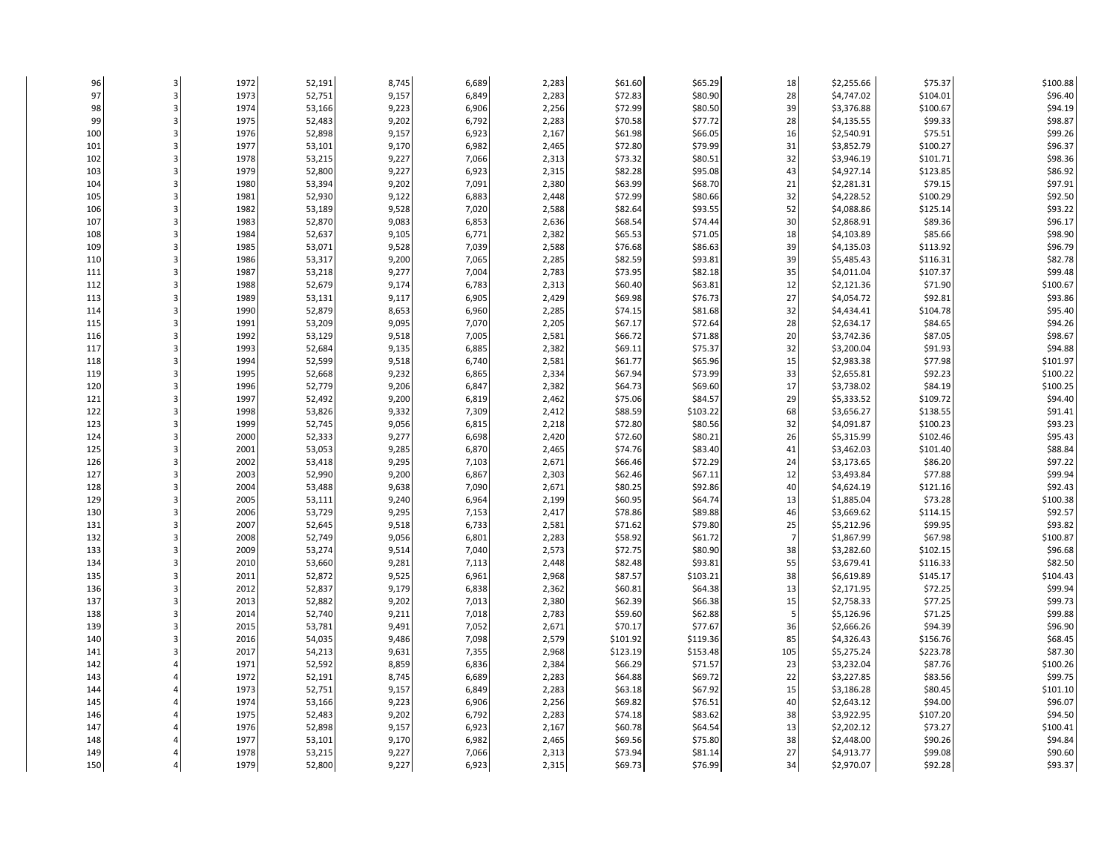| 96  |   | 1972 | 52,191 | 8,745 | 6,689 | 2,283 | \$61.60  | \$65.29  | 18             | \$2,255.66 | \$75.37  | \$100.88 |
|-----|---|------|--------|-------|-------|-------|----------|----------|----------------|------------|----------|----------|
| 97  |   | 1973 | 52,751 | 9,157 | 6,849 | 2,283 | \$72.83  | \$80.90  | 28             | \$4,747.02 | \$104.01 | \$96.40  |
| 98  |   | 1974 | 53,166 | 9,223 | 6,906 | 2,256 | \$72.99  | \$80.50  | 39             | \$3,376.88 | \$100.67 | \$94.19  |
| 99  | З | 1975 | 52,483 | 9,202 | 6,792 | 2,283 | \$70.58  | \$77.72  | 28             | \$4,135.55 | \$99.33  | \$98.87  |
| 100 |   | 1976 | 52,898 | 9,157 | 6,923 | 2,167 | \$61.98  | \$66.05  | 16             | \$2,540.91 | \$75.51  | \$99.26  |
| 101 |   | 1977 | 53,101 | 9,170 | 6,982 | 2,465 | \$72.80  | \$79.99  | 31             | \$3,852.79 | \$100.27 | \$96.37  |
| 102 |   | 1978 | 53,215 | 9,227 | 7,066 | 2,313 | \$73.32  | \$80.51  | 32             | \$3,946.19 | \$101.71 | \$98.36  |
| 103 |   | 1979 | 52,800 | 9,227 | 6,923 | 2,315 | \$82.28  | \$95.08  | 43             | \$4,927.14 | \$123.85 | \$86.92  |
| 104 |   | 1980 | 53,394 | 9,202 | 7,091 | 2,380 | \$63.99  | \$68.70  | 21             | \$2,281.31 | \$79.15  | \$97.91  |
| 105 |   | 1981 | 52,930 | 9,122 | 6,883 | 2,448 | \$72.99  | \$80.66  | 32             | \$4,228.52 | \$100.29 | \$92.50  |
| 106 |   | 1982 | 53,189 | 9,528 | 7,020 | 2,588 | \$82.64  | \$93.55  | 52             | \$4,088.86 | \$125.14 | \$93.22  |
| 107 |   | 1983 | 52,870 | 9,083 | 6,853 | 2,636 | \$68.54  | \$74.44  | 30             | \$2,868.91 | \$89.36  | \$96.17  |
| 108 |   | 1984 | 52,637 | 9,105 | 6,771 | 2,382 | \$65.53  | \$71.05  | 18             | \$4,103.89 | \$85.66  | \$98.90  |
| 109 |   | 1985 | 53,071 | 9,528 | 7,039 | 2,588 | \$76.68  | \$86.63  | 39             | \$4,135.03 | \$113.92 | \$96.79  |
| 110 |   | 1986 | 53,317 | 9,200 | 7,065 | 2,285 | \$82.59  | \$93.81  | 39             | \$5,485.43 | \$116.31 | \$82.78  |
| 111 |   | 1987 | 53,218 | 9,277 | 7,004 | 2,783 | \$73.95  | \$82.18  | 35             | \$4,011.04 | \$107.37 | \$99.48  |
| 112 |   | 1988 | 52,679 | 9,174 | 6,783 | 2,313 | \$60.40  | \$63.81  | 12             | \$2,121.36 | \$71.90  | \$100.67 |
| 113 |   | 1989 | 53,131 | 9,117 | 6,905 | 2,429 | \$69.98  | \$76.73  | 27             | \$4,054.72 | \$92.81  | \$93.86  |
| 114 |   | 1990 | 52,879 | 8,653 | 6,960 | 2,285 | \$74.15  | \$81.68  | 32             | \$4,434.41 | \$104.78 | \$95.40  |
| 115 |   | 1991 | 53,209 | 9,095 | 7,070 | 2,205 | \$67.17  | \$72.64  | 28             | \$2,634.17 | \$84.65  | \$94.26  |
| 116 |   | 1992 | 53,129 | 9,518 | 7,005 | 2,581 | \$66.72  | \$71.88  | 20             | \$3,742.36 | \$87.05  | \$98.67  |
| 117 |   | 1993 | 52,684 | 9,135 | 6,885 | 2,382 | \$69.11  | \$75.37  | 32             | \$3,200.04 | \$91.93  | \$94.88  |
| 118 |   | 1994 | 52,599 | 9,518 | 6,740 | 2,581 | \$61.77  | \$65.96  | 15             | \$2,983.38 | \$77.98  | \$101.97 |
| 119 |   | 1995 | 52,668 | 9,232 | 6,865 | 2,334 | \$67.94  | \$73.99  | 33             | \$2,655.81 | \$92.23  | \$100.22 |
| 120 |   | 1996 | 52,779 | 9,206 | 6,847 | 2,382 | \$64.73  | \$69.60  | 17             | \$3,738.02 | \$84.19  | \$100.25 |
| 121 |   | 1997 | 52,492 | 9,200 | 6,819 | 2,462 | \$75.06  | \$84.57  | 29             | \$5,333.52 | \$109.72 | \$94.40  |
| 122 |   | 1998 | 53,826 | 9,332 | 7,309 | 2,412 | \$88.59  | \$103.22 | 68             | \$3,656.27 | \$138.55 | \$91.41  |
| 123 |   | 1999 | 52,745 | 9,056 | 6,815 | 2,218 | \$72.80  | \$80.56  | 32             | \$4,091.87 | \$100.23 | \$93.23  |
| 124 |   | 2000 | 52,333 | 9,277 | 6,698 | 2,420 | \$72.60  | \$80.21  | 26             | \$5,315.99 | \$102.46 | \$95.43  |
| 125 |   | 2001 | 53,053 | 9,285 | 6,870 | 2,465 | \$74.76  | \$83.40  | 41             | \$3,462.03 | \$101.40 | \$88.84  |
| 126 |   | 2002 | 53,418 | 9,295 | 7,103 | 2,671 | \$66.46  | \$72.29  | 24             | \$3,173.65 | \$86.20  | \$97.22  |
| 127 |   | 2003 | 52,990 | 9,200 | 6,867 | 2,303 | \$62.46  | \$67.11  | 12             | \$3,493.84 | \$77.88  | \$99.94  |
| 128 |   | 2004 | 53,488 | 9,638 | 7,090 | 2,671 | \$80.25  | \$92.86  | 40             | \$4,624.19 | \$121.16 | \$92.43  |
| 129 |   | 2005 | 53,111 | 9,240 | 6,964 | 2,199 | \$60.95  | \$64.74  | 13             | \$1,885.04 | \$73.28  | \$100.38 |
| 130 |   | 2006 | 53,729 | 9,295 | 7,153 | 2,417 | \$78.86  | \$89.88  | 46             | \$3,669.62 | \$114.15 | \$92.57  |
| 131 |   | 2007 | 52,645 | 9,518 | 6,733 | 2,581 | \$71.62  | \$79.80  | 25             | \$5,212.96 | \$99.95  | \$93.82  |
| 132 |   | 2008 | 52,749 | 9,056 | 6,801 | 2,283 | \$58.92  | \$61.72  | $\overline{7}$ | \$1,867.99 | \$67.98  | \$100.87 |
| 133 |   | 2009 | 53,274 | 9,514 | 7,040 | 2,573 | \$72.75  | \$80.90  | 38             | \$3,282.60 | \$102.15 | \$96.68  |
| 134 |   | 2010 | 53,660 | 9,281 | 7,113 | 2,448 | \$82.48  | \$93.81  | 55             | \$3,679.41 | \$116.33 | \$82.50  |
| 135 |   | 2011 | 52,872 | 9,525 | 6,961 | 2,968 | \$87.57  | \$103.21 | 38             | \$6,619.89 | \$145.17 | \$104.43 |
| 136 |   | 2012 | 52,837 | 9,179 | 6,838 | 2,362 | \$60.81  | \$64.38  | 13             | \$2,171.95 | \$72.25  | \$99.94  |
| 137 |   | 2013 | 52,882 | 9,202 | 7,013 | 2,380 | \$62.39  | \$66.38  | 15             | \$2,758.33 | \$77.25  | \$99.73  |
| 138 |   | 2014 | 52,740 | 9,211 | 7,018 | 2,783 | \$59.60  | \$62.88  | 5              | \$5,126.96 | \$71.25  | \$99.88  |
| 139 |   | 2015 | 53,781 | 9,491 | 7,052 | 2,671 | \$70.17  | \$77.67  | 36             | \$2,666.26 | \$94.39  | \$96.90  |
| 140 |   | 2016 | 54,035 | 9,486 | 7,098 | 2,579 | \$101.92 | \$119.36 | 85             | \$4,326.43 | \$156.76 | \$68.45  |
| 141 |   | 2017 | 54,213 | 9,631 | 7,355 | 2,968 | \$123.19 | \$153.48 | 105            | \$5,275.24 | \$223.78 | \$87.30  |
| 142 |   | 1971 | 52,592 | 8,859 | 6,836 | 2,384 | \$66.29  | \$71.57  | 23             | \$3,232.04 | \$87.76  | \$100.26 |
| 143 |   | 1972 | 52,191 | 8,745 | 6,689 | 2,283 | \$64.88  | \$69.72  | 22             | \$3,227.85 | \$83.56  | \$99.75  |
| 144 |   | 1973 | 52,751 | 9,157 | 6,849 | 2,283 | \$63.18  | \$67.92  | 15             | \$3,186.28 | \$80.45  | \$101.10 |
| 145 |   | 1974 | 53,166 | 9,223 | 6,906 | 2,256 | \$69.82  | \$76.51  | 40             | \$2,643.12 | \$94.00  | \$96.07  |
| 146 |   | 1975 | 52,483 | 9,202 | 6,792 | 2,283 | \$74.18  | \$83.62  | 38             | \$3,922.95 | \$107.20 | \$94.50  |
| 147 |   | 1976 | 52,898 | 9,157 | 6,923 | 2,167 | \$60.78  | \$64.54  | 13             | \$2,202.12 | \$73.27  | \$100.41 |
| 148 |   | 1977 | 53,101 | 9,170 | 6,982 | 2,465 | \$69.56  | \$75.80  | 38             | \$2,448.00 | \$90.26  | \$94.84  |
| 149 |   | 1978 | 53,215 | 9,227 | 7,066 | 2,313 | \$73.94  | \$81.14  | 27             | \$4,913.77 | \$99.08  | \$90.60  |
| 150 |   | 1979 | 52,800 | 9,227 | 6,923 | 2,315 | \$69.73  | \$76.99  | 34             | \$2,970.07 | \$92.28  | \$93.37  |
|     |   |      |        |       |       |       |          |          |                |            |          |          |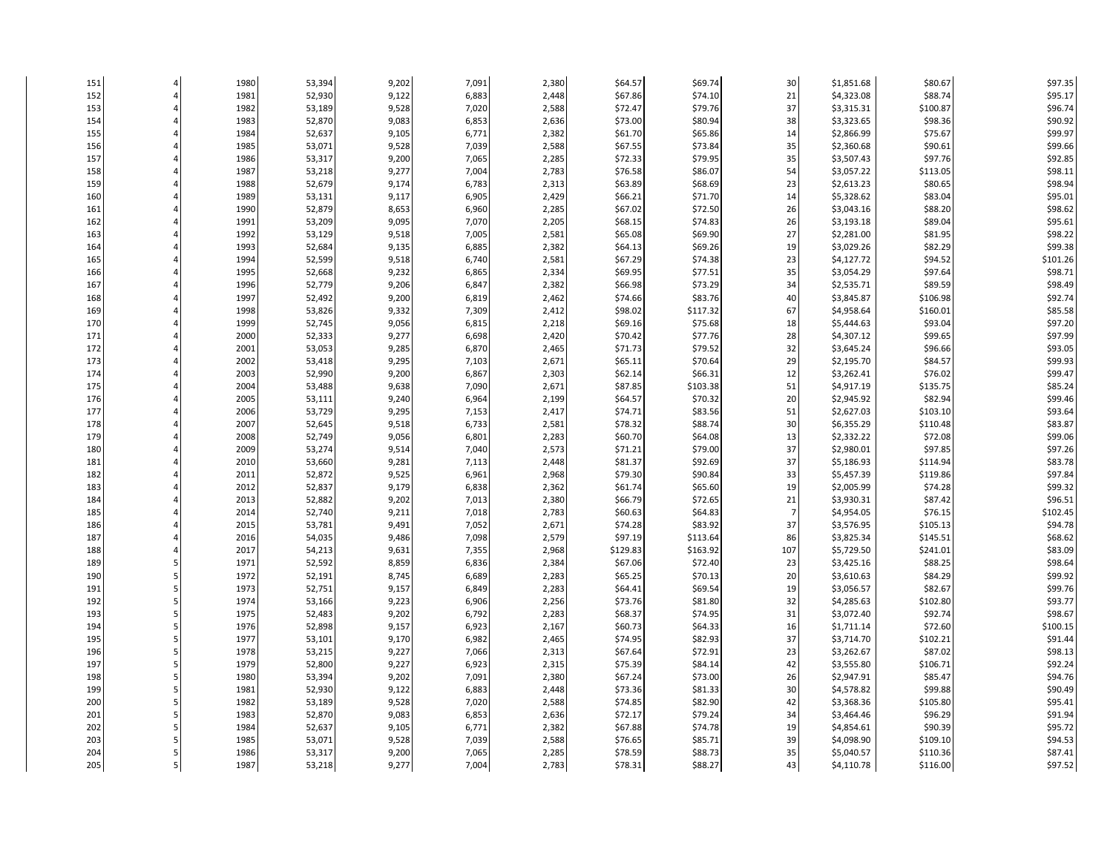| 151 | 1980         | 53,394 | 9,202          | 7,091          | 2,380          | \$64.57  | \$69.74  | 30             | \$1,851.68 | \$80.67  | \$97.35  |
|-----|--------------|--------|----------------|----------------|----------------|----------|----------|----------------|------------|----------|----------|
| 152 | 1981         | 52,930 | 9,122          | 6,883          | 2,448          | \$67.86  | \$74.10  | 21             | \$4,323.08 | \$88.74  | \$95.17  |
| 153 | 1982         | 53,189 | 9,528          | 7,020          | 2,588          | \$72.47  | \$79.76  | 37             | \$3,315.31 | \$100.87 | \$96.74  |
| 154 | 1983         | 52,870 | 9,083          | 6,853          | 2,636          | \$73.00  | \$80.94  | 38             | \$3,323.65 | \$98.36  | \$90.92  |
| 155 | 1984         | 52,637 | 9,105          | 6,771          | 2,382          | \$61.70  | \$65.86  | 14             | \$2,866.99 | \$75.67  | \$99.97  |
| 156 | 1985         | 53,071 | 9,528          | 7,039          | 2,588          | \$67.55  | \$73.84  | 35             | \$2,360.68 | \$90.61  | \$99.66  |
|     |              |        |                |                |                | \$72.33  | \$79.95  |                |            | \$97.76  | \$92.85  |
| 157 | 1986         | 53,317 | 9,200          | 7,065          | 2,285          |          |          | 35             | \$3,507.43 |          |          |
| 158 | 1987         | 53,218 | 9,277          | 7,004          | 2,783          | \$76.58  | \$86.07  | 54             | \$3,057.22 | \$113.05 | \$98.11  |
| 159 | 1988         | 52,679 | 9,174          | 6,783          | 2,313          | \$63.89  | \$68.69  | 23             | \$2,613.23 | \$80.65  | \$98.94  |
| 160 | 1989         | 53,131 | 9,117          | 6,905          | 2,429          | \$66.21  | \$71.70  | 14             | \$5,328.62 | \$83.04  | \$95.01  |
| 161 | 1990         | 52,879 | 8,653          | 6,960          | 2,285          | \$67.02  | \$72.50  | 26             | \$3,043.16 | \$88.20  | \$98.62  |
| 162 | 1991         | 53,209 | 9,095          | 7,070          | 2,205          | \$68.15  | \$74.83  | 26             | \$3,193.18 | \$89.04  | \$95.61  |
| 163 | 1992         | 53,129 | 9,518          | 7,005          | 2,581          | \$65.08  | \$69.90  | 27             | \$2,281.00 | \$81.95  | \$98.22  |
| 164 | 1993         | 52,684 | 9,135          | 6,885          | 2,382          | \$64.13  | \$69.26  | 19             | \$3,029.26 | \$82.29  | \$99.38  |
| 165 | 1994         | 52,599 | 9,518          | 6,740          | 2,581          | \$67.29  | \$74.38  | 23             | \$4,127.72 | \$94.52  | \$101.26 |
| 166 | 1995         | 52,668 | 9,232          | 6,865          | 2,334          | \$69.95  | \$77.51  | 35             | \$3,054.29 | \$97.64  | \$98.71  |
| 167 | 1996         | 52,779 | 9,206          | 6,847          | 2,382          | \$66.98  | \$73.29  | 34             | \$2,535.71 | \$89.59  | \$98.49  |
| 168 | 1997         | 52,492 | 9,200          | 6,819          | 2,462          | \$74.66  | \$83.76  | 40             | \$3,845.87 | \$106.98 | \$92.74  |
| 169 | 1998         | 53,826 | 9,332          | 7,309          | 2,412          | \$98.02  | \$117.32 | 67             | \$4,958.64 | \$160.01 | \$85.58  |
| 170 | 1999         | 52,745 | 9,056          | 6,815          | 2,218          | \$69.16  | \$75.68  | 18             | \$5,444.63 | \$93.04  | \$97.20  |
| 171 | 2000         | 52,333 | 9,277          | 6,698          | 2,420          | \$70.42  | \$77.76  | 28             | \$4,307.12 | \$99.65  | \$97.99  |
| 172 | 2001         | 53,053 | 9,285          | 6,870          | 2,465          | \$71.73  | \$79.52  | 32             | \$3,645.24 | \$96.66  | \$93.05  |
| 173 | 2002         | 53,418 | 9,295          | 7,103          | 2,671          | \$65.11  | \$70.64  | 29             | \$2,195.70 | \$84.57  | \$99.93  |
| 174 | 2003         | 52,990 | 9,200          | 6,867          | 2,303          | \$62.14  | \$66.31  | 12             | \$3,262.41 | \$76.02  | \$99.47  |
| 175 | 2004         | 53,488 | 9,638          | 7,090          | 2,671          | \$87.85  | \$103.38 | 51             | \$4,917.19 | \$135.75 | \$85.24  |
| 176 | 2005         | 53,111 | 9,240          | 6,964          | 2,199          | \$64.57  | \$70.32  | 20             | \$2,945.92 | \$82.94  | \$99.46  |
| 177 | 2006         | 53,729 | 9,295          | 7,153          | 2,417          | \$74.71  | \$83.56  | 51             | \$2,627.03 | \$103.10 | \$93.64  |
| 178 | 2007         | 52,645 | 9,518          | 6,733          | 2,581          | \$78.32  | \$88.74  | 30             | \$6,355.29 | \$110.48 | \$83.87  |
| 179 | 2008         | 52,749 | 9,056          | 6,801          | 2,283          | \$60.70  | \$64.08  | 13             | \$2,332.22 | \$72.08  | \$99.06  |
| 180 |              | 53,274 |                |                |                | \$71.21  | \$79.00  | 37             | \$2,980.01 | \$97.85  | \$97.26  |
| 181 | 2009<br>2010 | 53,660 | 9,514<br>9,281 | 7,040<br>7,113 | 2,573<br>2,448 | \$81.37  | \$92.69  | 37             | \$5,186.93 | \$114.94 | \$83.78  |
|     |              |        |                |                |                |          |          |                |            |          | \$97.84  |
| 182 | 2011         | 52,872 | 9,525          | 6,961          | 2,968          | \$79.30  | \$90.84  | 33             | \$5,457.39 | \$119.86 | \$99.32  |
| 183 | 2012         | 52,837 | 9,179          | 6,838          | 2,362          | \$61.74  | \$65.60  | 19             | \$2,005.99 | \$74.28  |          |
| 184 | 2013         | 52,882 | 9,202          | 7,013          | 2,380          | \$66.79  | \$72.65  | 21             | \$3,930.31 | \$87.42  | \$96.51  |
| 185 | 2014         | 52,740 | 9,211          | 7,018          | 2,783          | \$60.63  | \$64.83  | $\overline{7}$ | \$4,954.05 | \$76.15  | \$102.45 |
| 186 | 2015         | 53,781 | 9,491          | 7,052          | 2,671          | \$74.28  | \$83.92  | 37             | \$3,576.95 | \$105.13 | \$94.78  |
| 187 | 2016         | 54,035 | 9,486          | 7,098          | 2,579          | \$97.19  | \$113.64 | 86             | \$3,825.34 | \$145.51 | \$68.62  |
| 188 | 2017         | 54,213 | 9,631          | 7,355          | 2,968          | \$129.83 | \$163.92 | 107            | \$5,729.50 | \$241.01 | \$83.09  |
| 189 | 1971         | 52,592 | 8,859          | 6,836          | 2,384          | \$67.06  | \$72.40  | 23             | \$3,425.16 | \$88.25  | \$98.64  |
| 190 | 1972         | 52,191 | 8,745          | 6,689          | 2,283          | \$65.25  | \$70.13  | 20             | \$3,610.63 | \$84.29  | \$99.92  |
| 191 | 1973         | 52,751 | 9,157          | 6,849          | 2,283          | \$64.41  | \$69.54  | 19             | \$3,056.57 | \$82.67  | \$99.76  |
| 192 | 1974         | 53,166 | 9,223          | 6,906          | 2,256          | \$73.76  | \$81.80  | 32             | \$4,285.63 | \$102.80 | \$93.77  |
| 193 | 1975         | 52,483 | 9,202          | 6,792          | 2,283          | \$68.37  | \$74.95  | 31             | \$3,072.40 | \$92.74  | \$98.67  |
| 194 | 1976         | 52,898 | 9,157          | 6,923          | 2,167          | \$60.73  | \$64.33  | 16             | \$1,711.14 | \$72.60  | \$100.15 |
| 195 | 1977         | 53,101 | 9,170          | 6,982          | 2,465          | \$74.95  | \$82.93  | 37             | \$3,714.70 | \$102.21 | \$91.44  |
| 196 | 1978         | 53,215 | 9,227          | 7,066          | 2,313          | \$67.64  | \$72.91  | 23             | \$3,262.67 | \$87.02  | \$98.13  |
| 197 | 1979         | 52,800 | 9,227          | 6,923          | 2,315          | \$75.39  | \$84.14  | 42             | \$3,555.80 | \$106.71 | \$92.24  |
| 198 | 1980         | 53,394 | 9,202          | 7,091          | 2,380          | \$67.24  | \$73.00  | 26             | \$2,947.91 | \$85.47  | \$94.76  |
| 199 | 1981         | 52,930 | 9,122          | 6,883          | 2,448          | \$73.36  | \$81.33  | 30             | \$4,578.82 | \$99.88  | \$90.49  |
| 200 | 1982         | 53,189 | 9,528          | 7,020          | 2,588          | \$74.85  | \$82.90  | 42             | \$3,368.36 | \$105.80 | \$95.41  |
| 201 | 1983         | 52,870 | 9,083          | 6,853          | 2,636          | \$72.17  | \$79.24  | 34             | \$3,464.46 | \$96.29  | \$91.94  |
| 202 | 1984         | 52,637 | 9,105          | 6,771          | 2,382          | \$67.88  | \$74.78  | 19             | \$4,854.61 | \$90.39  | \$95.72  |
| 203 | 1985         | 53,071 | 9,528          | 7,039          | 2,588          | \$76.65  | \$85.71  | 39             | \$4,098.90 | \$109.10 | \$94.53  |
| 204 | 1986         | 53,317 | 9,200          | 7,065          | 2,285          | \$78.59  | \$88.73  | 35             | \$5,040.57 | \$110.36 | \$87.41  |
| 205 | 1987         | 53,218 | 9,277          | 7,004          | 2,783          | \$78.31  | \$88.27  | 43             | \$4,110.78 | \$116.00 | \$97.52  |
|     |              |        |                |                |                |          |          |                |            |          |          |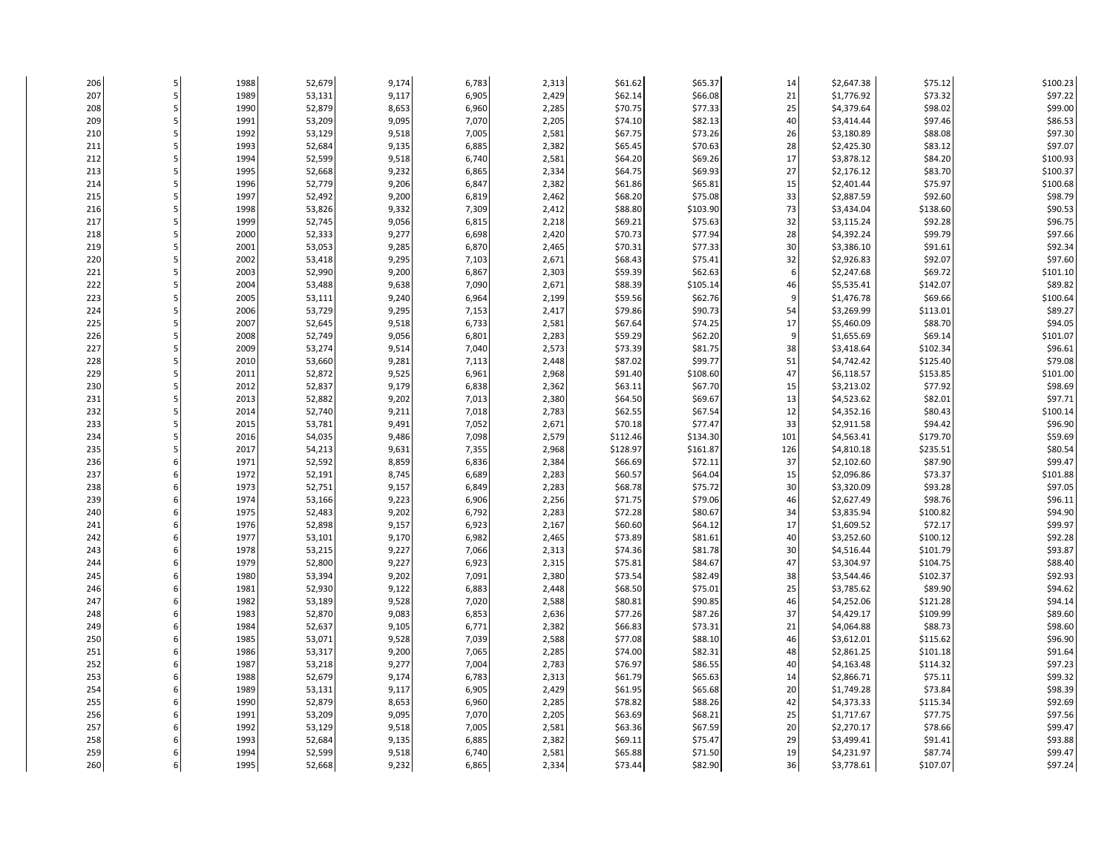| 206 | 1988 | 52,679 | 9,174 | 6,783 | 2,313 | \$61.62  | \$65.37  | 14     | \$2,647.38 | \$75.12  | \$100.23 |
|-----|------|--------|-------|-------|-------|----------|----------|--------|------------|----------|----------|
| 207 | 1989 | 53,131 | 9,117 | 6,905 | 2,429 | \$62.14  | \$66.08  | 21     | \$1,776.92 | \$73.32  | \$97.22  |
| 208 | 1990 | 52,879 | 8,653 | 6,960 | 2,285 | \$70.75  | \$77.33  | 25     | \$4,379.64 | \$98.02  | \$99.00  |
| 209 | 1991 | 53,209 | 9,095 | 7,070 | 2,205 | \$74.10  | \$82.13  | 40     | \$3,414.44 | \$97.46  | \$86.53  |
| 210 | 1992 | 53,129 | 9,518 | 7,005 | 2,581 | \$67.75  | \$73.26  | 26     | \$3,180.89 | \$88.08  | \$97.30  |
| 211 | 1993 | 52,684 | 9,135 | 6,885 | 2,382 | \$65.45  | \$70.63  | 28     | \$2,425.30 | \$83.12  | \$97.07  |
| 212 | 1994 | 52,599 | 9,518 | 6,740 | 2,581 | \$64.20  | \$69.26  | 17     | \$3,878.12 | \$84.20  | \$100.93 |
| 213 | 1995 | 52,668 | 9,232 | 6,865 | 2,334 | \$64.75  | \$69.93  | 27     | \$2,176.12 | \$83.70  | \$100.37 |
| 214 | 1996 | 52,779 | 9,206 | 6,847 | 2,382 | \$61.86  | \$65.81  | 15     | \$2,401.44 | \$75.97  | \$100.68 |
| 215 | 1997 | 52,492 | 9,200 | 6,819 | 2,462 | \$68.20  | \$75.08  | 33     | \$2,887.59 | \$92.60  | \$98.79  |
| 216 | 1998 | 53,826 | 9,332 | 7,309 | 2,412 | \$88.80  | \$103.90 | 73     | \$3,434.04 | \$138.60 | \$90.53  |
| 217 | 1999 | 52,745 | 9,056 | 6,815 | 2,218 | \$69.21  | \$75.63  | 32     | \$3,115.24 | \$92.28  | \$96.75  |
| 218 | 2000 | 52,333 | 9,277 | 6,698 | 2,420 | \$70.73  | \$77.94  | 28     | \$4,392.24 | \$99.79  | \$97.66  |
| 219 | 2001 | 53,053 | 9,285 | 6,870 | 2,465 | \$70.31  | \$77.33  | 30     | \$3,386.10 | \$91.61  | \$92.34  |
| 220 | 2002 | 53,418 | 9,295 | 7,103 | 2,671 | \$68.43  | \$75.41  | 32     | \$2,926.83 | \$92.07  | \$97.60  |
| 221 | 2003 | 52,990 | 9,200 | 6,867 | 2,303 | \$59.39  | \$62.63  | 6      | \$2,247.68 | \$69.72  | \$101.10 |
| 222 | 2004 | 53,488 | 9,638 | 7,090 | 2,671 | \$88.39  | \$105.14 | 46     | \$5,535.41 | \$142.07 | \$89.82  |
| 223 | 2005 | 53,111 | 9,240 | 6,964 | 2,199 | \$59.56  | \$62.76  | q      | \$1,476.78 | \$69.66  | \$100.64 |
| 224 | 2006 | 53,729 | 9,295 | 7,153 | 2,417 | \$79.86  | \$90.73  | 54     | \$3,269.99 | \$113.01 | \$89.27  |
| 225 | 2007 | 52,645 | 9,518 | 6,733 | 2,581 | \$67.64  | \$74.25  | 17     | \$5,460.09 | \$88.70  | \$94.05  |
| 226 | 2008 | 52,749 | 9,056 | 6,801 | 2,283 | \$59.29  | \$62.20  | 9      | \$1,655.69 | \$69.14  | \$101.07 |
| 227 | 2009 | 53,274 | 9,514 | 7,040 | 2,573 | \$73.39  | \$81.75  | 38     | \$3,418.64 | \$102.34 | \$96.61  |
|     |      |        |       |       |       |          |          |        |            |          |          |
| 228 | 2010 | 53,660 | 9,281 | 7,113 | 2,448 | \$87.02  | \$99.77  | 51     | \$4,742.42 | \$125.40 | \$79.08  |
| 229 | 2011 | 52,872 | 9,525 | 6,961 | 2,968 | \$91.40  | \$108.60 | 47     | \$6,118.57 | \$153.85 | \$101.00 |
| 230 | 2012 | 52,837 | 9,179 | 6,838 | 2,362 | \$63.11  | \$67.70  | 15     | \$3,213.02 | \$77.92  | \$98.69  |
| 231 | 2013 | 52,882 | 9,202 | 7,013 | 2,380 | \$64.50  | \$69.67  | 13     | \$4,523.62 | \$82.01  | \$97.71  |
| 232 | 2014 | 52,740 | 9,211 | 7,018 | 2,783 | \$62.55  | \$67.54  | $12\,$ | \$4,352.16 | \$80.43  | \$100.14 |
| 233 | 2015 | 53,781 | 9,491 | 7,052 | 2,671 | \$70.18  | \$77.47  | 33     | \$2,911.58 | \$94.42  | \$96.90  |
| 234 | 2016 | 54,035 | 9,486 | 7,098 | 2,579 | \$112.46 | \$134.30 | 101    | \$4,563.41 | \$179.70 | \$59.69  |
| 235 | 2017 | 54,213 | 9,631 | 7,355 | 2,968 | \$128.97 | \$161.87 | 126    | \$4,810.18 | \$235.51 | \$80.54  |
| 236 | 1971 | 52,592 | 8,859 | 6,836 | 2,384 | \$66.69  | \$72.11  | 37     | \$2,102.60 | \$87.90  | \$99.47  |
| 237 | 1972 | 52,191 | 8,745 | 6,689 | 2,283 | \$60.57  | \$64.04  | 15     | \$2,096.86 | \$73.37  | \$101.88 |
| 238 | 1973 | 52,751 | 9,157 | 6,849 | 2,283 | \$68.78  | \$75.72  | 30     | \$3,320.09 | \$93.28  | \$97.05  |
| 239 | 1974 | 53,166 | 9,223 | 6,906 | 2,256 | \$71.75  | \$79.06  | 46     | \$2,627.49 | \$98.76  | \$96.11  |
| 240 | 1975 | 52,483 | 9,202 | 6,792 | 2,283 | \$72.28  | \$80.67  | 34     | \$3,835.94 | \$100.82 | \$94.90  |
| 241 | 1976 | 52,898 | 9,157 | 6,923 | 2,167 | \$60.60  | \$64.12  | 17     | \$1,609.52 | \$72.17  | \$99.97  |
| 242 | 1977 | 53,101 | 9,170 | 6,982 | 2,465 | \$73.89  | \$81.61  | 40     | \$3,252.60 | \$100.12 | \$92.28  |
| 243 | 1978 | 53,215 | 9,227 | 7,066 | 2,313 | \$74.36  | \$81.78  | 30     | \$4,516.44 | \$101.79 | \$93.87  |
| 244 | 1979 | 52,800 | 9,227 | 6,923 | 2,315 | \$75.81  | \$84.67  | 47     | \$3,304.97 | \$104.75 | \$88.40  |
| 245 | 1980 | 53,394 | 9,202 | 7,091 | 2,380 | \$73.54  | \$82.49  | 38     | \$3,544.46 | \$102.37 | \$92.93  |
| 246 | 1981 | 52,930 | 9,122 | 6,883 | 2,448 | \$68.50  | \$75.01  | 25     | \$3,785.62 | \$89.90  | \$94.62  |
| 247 | 1982 | 53,189 | 9,528 | 7,020 | 2,588 | \$80.81  | \$90.85  | 46     | \$4,252.06 | \$121.28 | \$94.14  |
| 248 | 1983 | 52,870 | 9,083 | 6,853 | 2,636 | \$77.26  | \$87.26  | 37     | \$4,429.17 | \$109.99 | \$89.60  |
| 249 | 1984 | 52,637 | 9,105 | 6,771 | 2,382 | \$66.83  | \$73.31  | 21     | \$4,064.88 | \$88.73  | \$98.60  |
| 250 | 1985 | 53,071 | 9,528 | 7,039 | 2,588 | \$77.08  | \$88.10  | 46     | \$3,612.01 | \$115.62 | \$96.90  |
| 251 | 1986 | 53,317 | 9,200 | 7,065 | 2,285 | \$74.00  | \$82.31  | 48     | \$2,861.25 | \$101.18 | \$91.64  |
| 252 | 1987 | 53,218 | 9,277 | 7,004 | 2,783 | \$76.97  | \$86.55  | 40     | \$4,163.48 | \$114.32 | \$97.23  |
| 253 | 1988 | 52,679 | 9,174 | 6,783 | 2,313 | \$61.79  | \$65.63  | 14     | \$2,866.71 | \$75.11  | \$99.32  |
| 254 | 1989 | 53,131 | 9,117 | 6,905 | 2,429 | \$61.95  | \$65.68  | 20     | \$1,749.28 | \$73.84  | \$98.39  |
| 255 | 1990 | 52,879 | 8,653 | 6,960 | 2,285 | \$78.82  | \$88.26  | 42     | \$4,373.33 | \$115.34 | \$92.69  |
| 256 | 1991 | 53,209 | 9,095 | 7,070 | 2,205 | \$63.69  | \$68.21  | 25     | \$1,717.67 | \$77.75  | \$97.56  |
| 257 | 1992 | 53,129 | 9,518 | 7,005 | 2,581 | \$63.36  | \$67.59  | 20     | \$2,270.17 | \$78.66  | \$99.47  |
| 258 | 1993 | 52,684 | 9,135 | 6,885 | 2,382 | \$69.11  | \$75.47  | 29     | \$3,499.41 | \$91.41  | \$93.88  |
| 259 | 1994 | 52,599 | 9,518 | 6,740 | 2,581 | \$65.88  | \$71.50  | 19     | \$4,231.97 | \$87.74  | \$99.47  |
| 260 | 1995 | 52,668 | 9,232 | 6,865 | 2,334 | \$73.44  | \$82.90  | 36     | \$3,778.61 | \$107.07 | \$97.24  |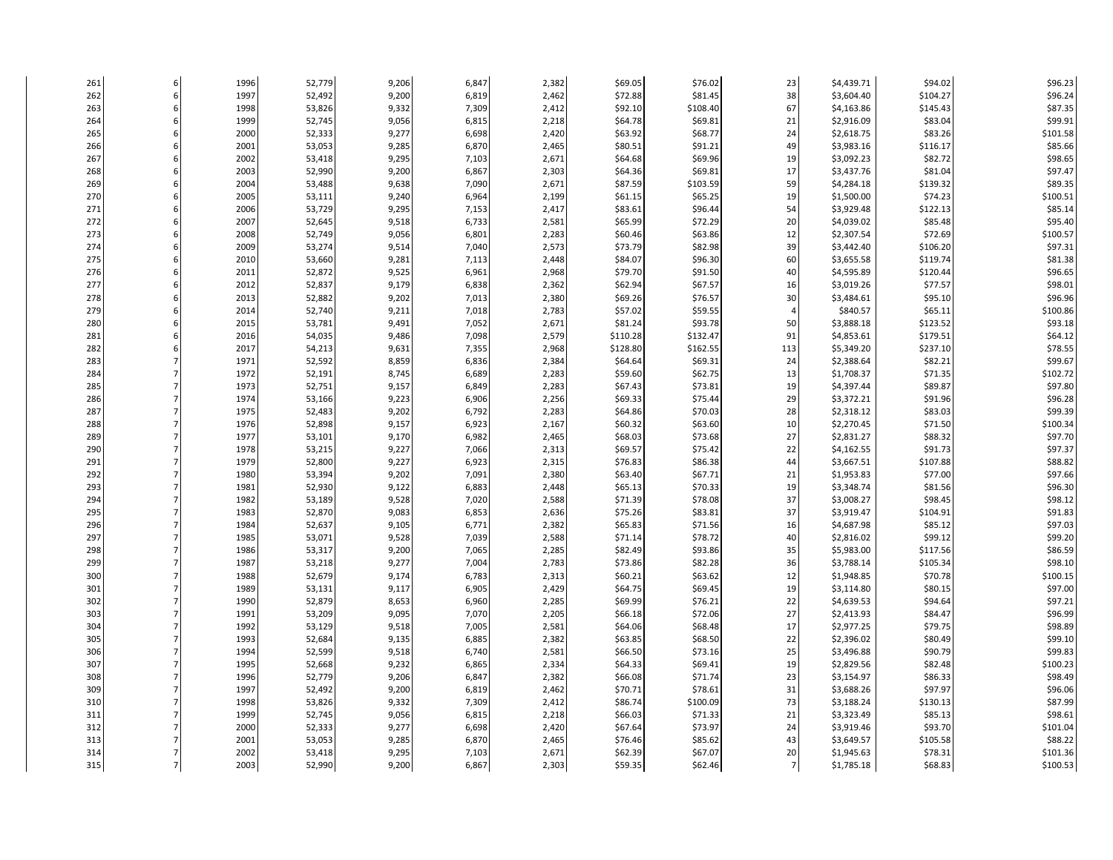| 261 | 1996 | 52,779 | 9,206 | 6,847 | 2,382 | \$69.05  | \$76.02  | 23               | \$4,439.71 | \$94.02  | \$96.23  |
|-----|------|--------|-------|-------|-------|----------|----------|------------------|------------|----------|----------|
| 262 | 1997 | 52,492 | 9,200 | 6,819 | 2,462 | \$72.88  | \$81.45  | 38               | \$3,604.40 | \$104.27 | \$96.24  |
| 263 | 1998 | 53,826 | 9,332 | 7,309 | 2,412 | \$92.10  | \$108.40 | 67               | \$4,163.86 | \$145.43 | \$87.35  |
| 264 | 1999 | 52,745 | 9,056 | 6,815 | 2,218 | \$64.78  | \$69.81  | 21               | \$2,916.09 | \$83.04  | \$99.91  |
| 265 | 2000 | 52,333 | 9,277 | 6,698 | 2,420 | \$63.92  | \$68.77  | 24               | \$2,618.75 | \$83.26  | \$101.58 |
| 266 | 2001 | 53,053 | 9,285 | 6,870 | 2,465 | \$80.51  | \$91.21  | 49               | \$3,983.16 | \$116.17 | \$85.66  |
| 267 | 2002 | 53,418 | 9,295 | 7,103 | 2,671 | \$64.68  | \$69.96  | 19               | \$3,092.23 | \$82.72  | \$98.65  |
| 268 | 2003 | 52,990 | 9,200 | 6,867 | 2,303 | \$64.36  | \$69.81  | 17               | \$3,437.76 | \$81.04  | \$97.47  |
| 269 | 2004 | 53,488 | 9,638 | 7,090 | 2,671 | \$87.59  | \$103.59 | 59               | \$4,284.18 | \$139.32 | \$89.35  |
| 270 | 2005 | 53,111 | 9,240 | 6,964 | 2,199 | \$61.15  | \$65.25  | 19               | \$1,500.00 | \$74.23  | \$100.51 |
| 271 | 2006 | 53,729 | 9,295 | 7,153 | 2,417 | \$83.61  | \$96.44  | 54               | \$3,929.48 | \$122.13 | \$85.14  |
| 272 | 2007 | 52,645 | 9,518 | 6,733 | 2,581 | \$65.99  | \$72.29  | 20               | \$4,039.02 | \$85.48  | \$95.40  |
| 273 | 2008 | 52,749 | 9,056 | 6,801 | 2,283 | \$60.46  | \$63.86  | 12               | \$2,307.54 | \$72.69  | \$100.57 |
| 274 | 2009 | 53,274 | 9,514 | 7,040 | 2,573 | \$73.79  | \$82.98  | 39               | \$3,442.40 | \$106.20 | \$97.31  |
| 275 | 2010 | 53,660 | 9,281 | 7,113 | 2,448 | \$84.07  | \$96.30  | 60               | \$3,655.58 | \$119.74 | \$81.38  |
| 276 | 2011 | 52,872 | 9,525 | 6,961 | 2,968 | \$79.70  | \$91.50  | 40               | \$4,595.89 | \$120.44 | \$96.65  |
| 277 | 2012 | 52,837 | 9,179 | 6,838 | 2,362 | \$62.94  | \$67.57  | 16               | \$3,019.26 | \$77.57  | \$98.01  |
| 278 | 2013 | 52,882 | 9,202 | 7,013 | 2,380 | \$69.26  | \$76.57  | 30               | \$3,484.61 | \$95.10  | \$96.96  |
| 279 | 2014 | 52,740 | 9,211 | 7,018 | 2,783 | \$57.02  | \$59.55  | $\overline{a}$   | \$840.57   | \$65.11  | \$100.86 |
| 280 | 2015 | 53,781 | 9,491 | 7,052 | 2,671 | \$81.24  | \$93.78  | 50               |            | \$123.52 | \$93.18  |
|     |      |        |       |       |       |          |          |                  | \$3,888.18 |          | \$64.12  |
| 281 | 2016 | 54,035 | 9,486 | 7,098 | 2,579 | \$110.28 | \$132.47 | 91               | \$4,853.61 | \$179.51 |          |
| 282 | 2017 | 54,213 | 9,631 | 7,355 | 2,968 | \$128.80 | \$162.55 | 113              | \$5,349.20 | \$237.10 | \$78.55  |
| 283 | 1971 | 52,592 | 8,859 | 6,836 | 2,384 | \$64.64  | \$69.31  | 24               | \$2,388.64 | \$82.21  | \$99.67  |
| 284 | 1972 | 52,191 | 8,745 | 6,689 | 2,283 | \$59.60  | \$62.75  | 13               | \$1,708.37 | \$71.35  | \$102.72 |
| 285 | 1973 | 52,751 | 9,157 | 6,849 | 2,283 | \$67.43  | \$73.81  | 19               | \$4,397.44 | \$89.87  | \$97.80  |
| 286 | 1974 | 53,166 | 9,223 | 6,906 | 2,256 | \$69.33  | \$75.44  | 29               | \$3,372.21 | \$91.96  | \$96.28  |
| 287 | 1975 | 52,483 | 9,202 | 6,792 | 2,283 | \$64.86  | \$70.03  | 28               | \$2,318.12 | \$83.03  | \$99.39  |
| 288 | 1976 | 52,898 | 9,157 | 6,923 | 2,167 | \$60.32  | \$63.60  | 10               | \$2,270.45 | \$71.50  | \$100.34 |
| 289 | 1977 | 53,101 | 9,170 | 6,982 | 2,465 | \$68.03  | \$73.68  | 27               | \$2,831.27 | \$88.32  | \$97.70  |
| 290 | 1978 | 53,215 | 9,227 | 7,066 | 2,313 | \$69.57  | \$75.42  | 22               | \$4,162.55 | \$91.73  | \$97.37  |
| 291 | 1979 | 52,800 | 9,227 | 6,923 | 2,315 | \$76.83  | \$86.38  | 44               | \$3,667.51 | \$107.88 | \$88.82  |
| 292 | 1980 | 53,394 | 9,202 | 7,091 | 2,380 | \$63.40  | \$67.71  | 21               | \$1,953.83 | \$77.00  | \$97.66  |
| 293 | 1981 | 52,930 | 9,122 | 6,883 | 2,448 | \$65.13  | \$70.33  | 19               | \$3,348.74 | \$81.56  | \$96.30  |
| 294 | 1982 | 53,189 | 9,528 | 7,020 | 2,588 | \$71.39  | \$78.08  | 37               | \$3,008.27 | \$98.45  | \$98.12  |
| 295 | 1983 | 52,870 | 9,083 | 6,853 | 2,636 | \$75.26  | \$83.81  | 37               | \$3,919.47 | \$104.91 | \$91.83  |
| 296 | 1984 | 52,637 | 9,105 | 6,771 | 2,382 | \$65.83  | \$71.56  | 16               | \$4,687.98 | \$85.12  | \$97.03  |
| 297 | 1985 | 53,071 | 9,528 | 7,039 | 2,588 | \$71.14  | \$78.72  | 40               | \$2,816.02 | \$99.12  | \$99.20  |
| 298 | 1986 | 53,317 | 9,200 | 7,065 | 2,285 | \$82.49  | \$93.86  | 35               | \$5,983.00 | \$117.56 | \$86.59  |
| 299 | 1987 | 53,218 | 9,277 | 7,004 | 2,783 | \$73.86  | \$82.28  | 36               | \$3,788.14 | \$105.34 | \$98.10  |
| 300 | 1988 | 52,679 | 9,174 | 6,783 | 2,313 | \$60.21  | \$63.62  | 12               | \$1,948.85 | \$70.78  | \$100.15 |
| 301 | 1989 | 53,131 | 9,117 | 6,905 | 2,429 | \$64.75  | \$69.45  | 19               | \$3,114.80 | \$80.15  | \$97.00  |
| 302 | 1990 | 52,879 | 8,653 | 6,960 | 2,285 | \$69.99  | \$76.21  | 22               | \$4,639.53 | \$94.64  | \$97.21  |
| 303 | 1991 | 53,209 | 9,095 | 7,070 | 2,205 | \$66.18  | \$72.06  | 27               | \$2,413.93 | \$84.47  | \$96.99  |
| 304 | 1992 | 53,129 | 9,518 | 7,005 | 2,581 | \$64.06  | \$68.48  | 17               | \$2,977.25 | \$79.75  | \$98.89  |
| 305 | 1993 | 52,684 | 9,135 | 6,885 | 2,382 | \$63.85  | \$68.50  | 22               | \$2,396.02 | \$80.49  | \$99.10  |
| 306 | 1994 | 52,599 | 9,518 | 6,740 | 2,581 | \$66.50  | \$73.16  | 25               | \$3,496.88 | \$90.79  | \$99.83  |
| 307 | 1995 | 52,668 | 9,232 | 6,865 | 2,334 | \$64.33  | \$69.41  | 19               | \$2,829.56 | \$82.48  | \$100.23 |
| 308 | 1996 | 52,779 | 9,206 | 6,847 | 2,382 | \$66.08  | \$71.74  | 23               | \$3,154.97 | \$86.33  | \$98.49  |
| 309 | 1997 | 52,492 | 9,200 | 6,819 | 2,462 | \$70.71  | \$78.61  | 31               | \$3,688.26 | \$97.97  | \$96.06  |
| 310 | 1998 | 53,826 | 9,332 | 7,309 | 2,412 | \$86.74  | \$100.09 | 73               | \$3,188.24 | \$130.13 | \$87.99  |
| 311 | 1999 | 52,745 | 9,056 | 6,815 | 2,218 | \$66.03  | \$71.33  | 21               | \$3,323.49 | \$85.13  | \$98.61  |
| 312 | 2000 | 52,333 | 9,277 | 6,698 | 2,420 | \$67.64  | \$73.97  | 24               | \$3,919.46 | \$93.70  | \$101.04 |
| 313 | 2001 | 53,053 | 9,285 | 6,870 | 2,465 | \$76.46  | \$85.62  | 43               | \$3,649.57 | \$105.58 | \$88.22  |
| 314 | 2002 | 53,418 | 9,295 | 7,103 | 2,671 | \$62.39  | \$67.07  | 20               | \$1,945.63 | \$78.31  | \$101.36 |
| 315 | 2003 | 52,990 | 9,200 | 6,867 | 2,303 | \$59.35  | \$62.46  | $7 \overline{ }$ | \$1,785.18 | \$68.83  | \$100.53 |
|     |      |        |       |       |       |          |          |                  |            |          |          |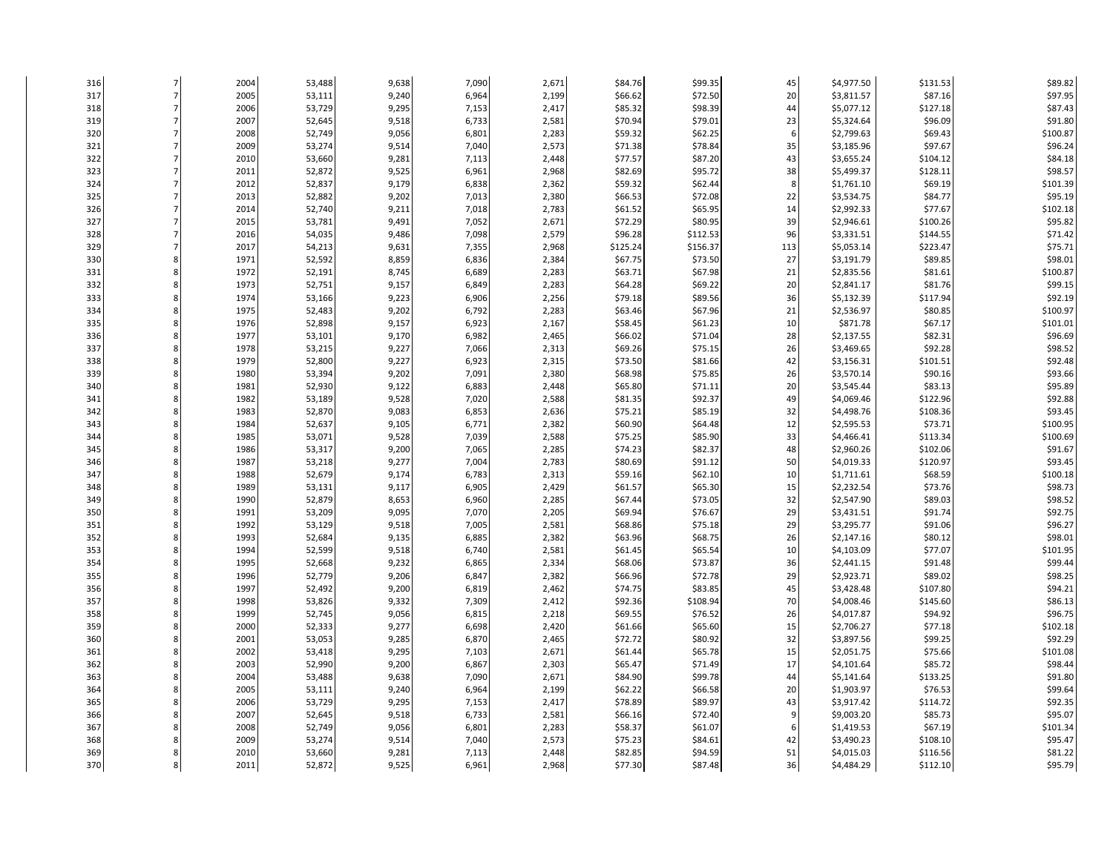| 316        | 2004 | 53,488 | 9,638 | 7,090 | 2,671          | \$84.76  | \$99.35  | 45           | \$4,977.50 | \$131.53 | \$89.82  |
|------------|------|--------|-------|-------|----------------|----------|----------|--------------|------------|----------|----------|
| 317        | 2005 | 53,111 | 9,240 | 6,964 | 2,199          | \$66.62  | \$72.50  | 20           | \$3,811.57 | \$87.16  | \$97.95  |
| 318        | 2006 | 53,729 | 9,295 | 7,153 | 2,417          | \$85.32  | \$98.39  | 44           | \$5,077.12 | \$127.18 | \$87.43  |
| 319        | 2007 | 52,645 | 9,518 | 6,733 | 2,581          | \$70.94  | \$79.01  | 23           | \$5,324.64 | \$96.09  | \$91.80  |
| 320        | 2008 | 52,749 | 9,056 | 6,801 | 2,283          | \$59.32  | \$62.25  | 6            | \$2,799.63 | \$69.43  | \$100.87 |
| 321        | 2009 | 53,274 | 9,514 | 7,040 | 2,573          | \$71.38  | \$78.84  | 35           | \$3,185.96 | \$97.67  | \$96.24  |
| 322        | 2010 | 53,660 | 9,281 | 7,113 | 2,448          | \$77.57  | \$87.20  | 43           | \$3,655.24 | \$104.12 | \$84.18  |
| 323        | 2011 | 52,872 | 9,525 | 6,961 | 2,968          | \$82.69  | \$95.72  | 38           | \$5,499.37 | \$128.11 | \$98.57  |
| 324        | 2012 | 52,837 | 9,179 | 6,838 | 2,362          | \$59.32  | \$62.44  | $\mathbf{R}$ | \$1,761.10 | \$69.19  | \$101.39 |
| 325        | 2013 | 52,882 | 9,202 | 7,013 | 2,380          | \$66.53  | \$72.08  | 22           | \$3,534.75 | \$84.77  | \$95.19  |
| 326        | 2014 | 52,740 | 9,211 | 7,018 | 2,783          | \$61.52  | \$65.95  | 14           | \$2,992.33 | \$77.67  | \$102.18 |
| 327        | 2015 | 53,781 | 9,491 | 7,052 | 2,671          | \$72.29  | \$80.95  | 39           | \$2,946.61 | \$100.26 | \$95.82  |
| 328        | 2016 | 54,035 | 9,486 | 7,098 | 2,579          | \$96.28  | \$112.53 | 96           | \$3,331.51 | \$144.55 | \$71.42  |
| 329        | 2017 | 54,213 | 9,631 | 7,355 | 2,968          | \$125.24 | \$156.37 | 113          | \$5,053.14 | \$223.47 | \$75.71  |
| 330        | 1971 | 52,592 | 8,859 | 6,836 | 2,384          | \$67.75  | \$73.50  | 27           | \$3,191.79 | \$89.85  | \$98.01  |
| 331        | 1972 | 52,191 | 8,745 | 6,689 | 2,283          | \$63.71  | \$67.98  | 21           | \$2,835.56 | \$81.61  | \$100.87 |
| 332        | 1973 | 52,751 | 9,157 | 6,849 | 2,283          | \$64.28  | \$69.22  | 20           | \$2,841.17 | \$81.76  | \$99.15  |
|            | 1974 | 53,166 | 9,223 | 6,906 |                | \$79.18  | \$89.56  | 36           | \$5,132.39 | \$117.94 | \$92.19  |
| 333<br>334 | 1975 | 52,483 | 9,202 | 6,792 | 2,256<br>2,283 | \$63.46  | \$67.96  | 21           | \$2,536.97 | \$80.85  | \$100.97 |
|            |      |        | 9,157 |       |                | \$58.45  | \$61.23  | 10           | \$871.78   | \$67.17  |          |
| 335        | 1976 | 52,898 |       | 6,923 | 2,167          |          |          |              |            | \$82.31  | \$101.01 |
| 336        | 1977 | 53,101 | 9,170 | 6,982 | 2,465          | \$66.02  | \$71.04  | 28           | \$2,137.55 |          | \$96.69  |
| 337        | 1978 | 53,215 | 9,227 | 7,066 | 2,313          | \$69.26  | \$75.15  | 26           | \$3,469.65 | \$92.28  | \$98.52  |
| 338        | 1979 | 52,800 | 9,227 | 6,923 | 2,315          | \$73.50  | \$81.66  | 42           | \$3,156.31 | \$101.51 | \$92.48  |
| 339        | 1980 | 53,394 | 9,202 | 7,091 | 2,380          | \$68.98  | \$75.85  | 26           | \$3,570.14 | \$90.16  | \$93.66  |
| 340        | 1981 | 52,930 | 9,122 | 6,883 | 2,448          | \$65.80  | \$71.11  | 20           | \$3,545.44 | \$83.13  | \$95.89  |
| 341        | 1982 | 53,189 | 9,528 | 7,020 | 2,588          | \$81.35  | \$92.37  | 49           | \$4,069.46 | \$122.96 | \$92.88  |
| 342        | 1983 | 52,870 | 9,083 | 6,853 | 2,636          | \$75.21  | \$85.19  | 32           | \$4,498.76 | \$108.36 | \$93.45  |
| 343        | 1984 | 52,637 | 9,105 | 6,771 | 2,382          | \$60.90  | \$64.48  | 12           | \$2,595.53 | \$73.71  | \$100.95 |
| 344        | 1985 | 53,071 | 9,528 | 7,039 | 2,588          | \$75.25  | \$85.90  | 33           | \$4,466.41 | \$113.34 | \$100.69 |
| 345        | 1986 | 53,317 | 9,200 | 7,065 | 2,285          | \$74.23  | \$82.37  | 48           | \$2,960.26 | \$102.06 | \$91.67  |
| 346        | 1987 | 53,218 | 9,277 | 7,004 | 2,783          | \$80.69  | \$91.12  | 50           | \$4,019.33 | \$120.97 | \$93.45  |
| 347        | 1988 | 52,679 | 9,174 | 6,783 | 2,313          | \$59.16  | \$62.10  | 10           | \$1,711.61 | \$68.59  | \$100.18 |
| 348        | 1989 | 53,131 | 9,117 | 6,905 | 2,429          | \$61.57  | \$65.30  | 15           | \$2,232.54 | \$73.76  | \$98.73  |
| 349        | 1990 | 52,879 | 8,653 | 6,960 | 2,285          | \$67.44  | \$73.05  | 32           | \$2,547.90 | \$89.03  | \$98.52  |
| 350        | 1991 | 53,209 | 9,095 | 7,070 | 2,205          | \$69.94  | \$76.67  | 29           | \$3,431.51 | \$91.74  | \$92.75  |
| 351        | 1992 | 53,129 | 9,518 | 7,005 | 2,581          | \$68.86  | \$75.18  | 29           | \$3,295.77 | \$91.06  | \$96.27  |
| 352        | 1993 | 52,684 | 9,135 | 6,885 | 2,382          | \$63.96  | \$68.75  | 26           | \$2,147.16 | \$80.12  | \$98.01  |
| 353        | 1994 | 52,599 | 9,518 | 6,740 | 2,581          | \$61.45  | \$65.54  | 10           | \$4,103.09 | \$77.07  | \$101.95 |
| 354        | 1995 | 52,668 | 9,232 | 6,865 | 2,334          | \$68.06  | \$73.87  | 36           | \$2,441.15 | \$91.48  | \$99.44  |
| 355        | 1996 | 52,779 | 9,206 | 6,847 | 2,382          | \$66.96  | \$72.78  | 29           | \$2,923.71 | \$89.02  | \$98.25  |
| 356        | 1997 | 52,492 | 9,200 | 6,819 | 2,462          | \$74.75  | \$83.85  | 45           | \$3,428.48 | \$107.80 | \$94.21  |
| 357        | 1998 | 53,826 | 9,332 | 7,309 | 2,412          | \$92.36  | \$108.94 | 70           | \$4,008.46 | \$145.60 | \$86.13  |
| 358        | 1999 | 52,745 | 9,056 | 6,815 | 2,218          | \$69.55  | \$76.52  | 26           | \$4,017.87 | \$94.92  | \$96.75  |
| 359        | 2000 | 52,333 | 9,277 | 6,698 | 2,420          | \$61.66  | \$65.60  | 15           | \$2,706.27 | \$77.18  | \$102.18 |
| 360        | 2001 | 53,053 | 9,285 | 6,870 | 2,465          | \$72.72  | \$80.92  | 32           | \$3,897.56 | \$99.25  | \$92.29  |
| 361        | 2002 | 53,418 | 9,295 | 7,103 | 2,671          | \$61.44  | \$65.78  | 15           | \$2,051.75 | \$75.66  | \$101.08 |
| 362        | 2003 | 52,990 | 9,200 | 6,867 | 2,303          | \$65.47  | \$71.49  | 17           | \$4,101.64 | \$85.72  | \$98.44  |
| 363        | 2004 | 53,488 | 9,638 | 7,090 | 2,671          | \$84.90  | \$99.78  | 44           | \$5,141.64 | \$133.25 | \$91.80  |
| 364        | 2005 | 53,111 | 9,240 | 6,964 | 2,199          | \$62.22  | \$66.58  | 20           | \$1,903.97 | \$76.53  | \$99.64  |
| 365        | 2006 | 53,729 | 9,295 | 7,153 | 2,417          | \$78.89  | \$89.97  | 43           | \$3,917.42 | \$114.72 | \$92.35  |
| 366        | 2007 | 52,645 | 9,518 | 6,733 | 2,581          | \$66.16  | \$72.40  |              | \$9,003.20 | \$85.73  | \$95.07  |
| 367        | 2008 | 52,749 | 9,056 | 6,801 | 2,283          | \$58.37  | \$61.07  | 6            | \$1,419.53 | \$67.19  | \$101.34 |
| 368        | 2009 | 53,274 | 9,514 | 7,040 | 2,573          | \$75.23  | \$84.61  | 42           | \$3,490.23 | \$108.10 | \$95.47  |
| 369        | 2010 | 53,660 | 9,281 | 7,113 | 2,448          | \$82.85  | \$94.59  | 51           | \$4,015.03 | \$116.56 | \$81.22  |
| 370        | 2011 | 52,872 | 9,525 | 6,961 | 2,968          | \$77.30  | \$87.48  | 36           | \$4,484.29 | \$112.10 | \$95.79  |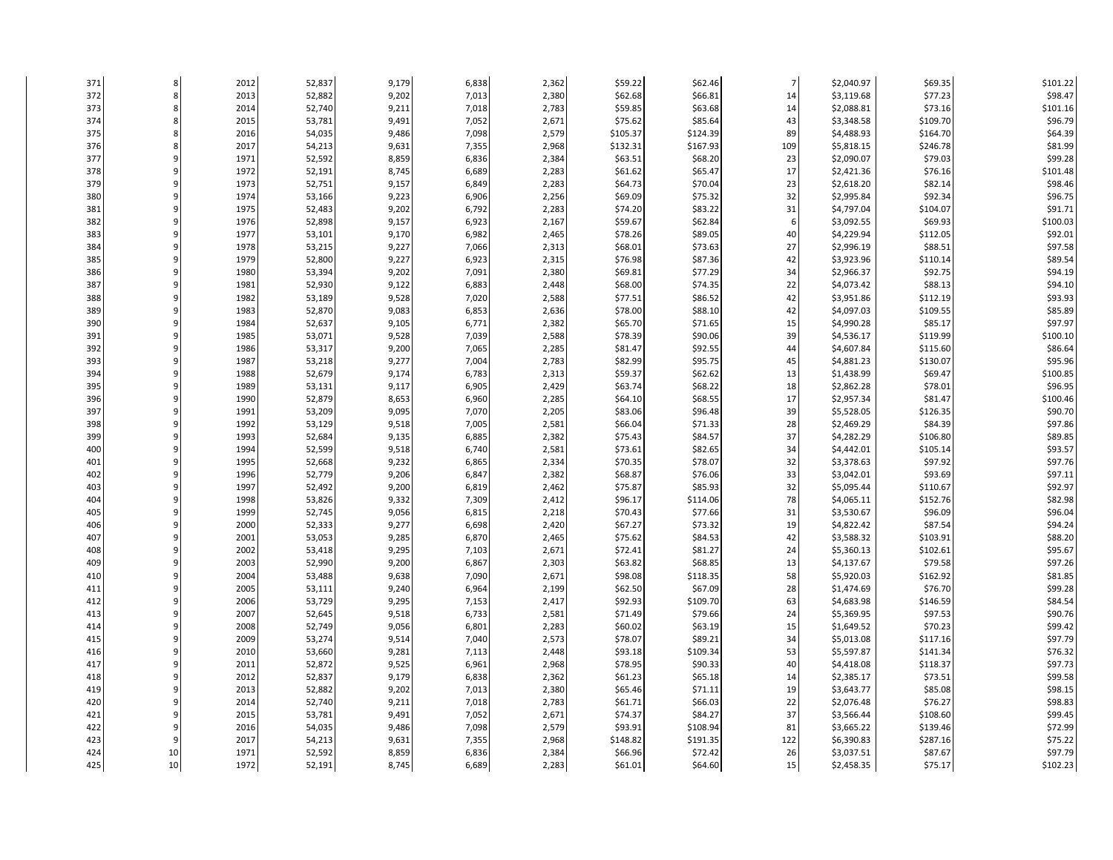| 371 |    | 2012 | 52,837 | 9,179 | 6,838          | 2,362 | \$59.22  | \$62.46  | $\overline{7}$ | \$2,040.97 | \$69.35  | \$101.22 |
|-----|----|------|--------|-------|----------------|-------|----------|----------|----------------|------------|----------|----------|
| 372 | 8  | 2013 | 52,882 | 9,202 | 7,013          | 2,380 | \$62.68  | \$66.81  | 14             | \$3,119.68 | \$77.23  | \$98.47  |
| 373 |    | 2014 | 52,740 | 9,211 | 7,018          | 2,783 | \$59.85  | \$63.68  | 14             | \$2,088.81 | \$73.16  | \$101.16 |
| 374 |    | 2015 | 53,781 | 9,491 | 7,052          | 2,671 | \$75.62  | \$85.64  | 43             | \$3,348.58 | \$109.70 | \$96.79  |
| 375 |    | 2016 | 54,035 | 9,486 | 7,098          | 2,579 | \$105.37 | \$124.39 | 89             | \$4,488.93 | \$164.70 | \$64.39  |
| 376 |    | 2017 | 54,213 | 9,631 | 7,355          | 2,968 | \$132.31 | \$167.93 | 109            | \$5,818.15 | \$246.78 | \$81.99  |
| 377 |    | 1971 | 52,592 | 8,859 | 6,836          | 2,384 | \$63.51  | \$68.20  | 23             | \$2,090.07 | \$79.03  | \$99.28  |
| 378 |    | 1972 | 52,191 | 8,745 | 6,689          | 2,283 | \$61.62  | \$65.47  | 17             | \$2,421.36 | \$76.16  | \$101.48 |
| 379 |    | 1973 | 52,751 | 9,157 | 6,849          | 2,283 | \$64.73  | \$70.04  | 23             | \$2,618.20 | \$82.14  | \$98.46  |
| 380 |    | 1974 | 53,166 | 9,223 | 6,906          | 2,256 | \$69.09  | \$75.32  | 32             | \$2,995.84 | \$92.34  | \$96.75  |
| 381 |    | 1975 | 52,483 | 9,202 | 6,792          | 2,283 | \$74.20  | \$83.22  | 31             | \$4,797.04 | \$104.07 | \$91.71  |
| 382 |    | 1976 | 52,898 | 9,157 | 6,923          | 2,167 | \$59.67  | \$62.84  | 6              | \$3,092.55 | \$69.93  | \$100.03 |
| 383 |    | 1977 | 53,101 | 9,170 | 6,982          | 2,465 | \$78.26  | \$89.05  | 40             | \$4,229.94 | \$112.05 | \$92.01  |
| 384 |    | 1978 | 53,215 | 9,227 | 7,066          | 2,313 | \$68.01  | \$73.63  | 27             | \$2,996.19 | \$88.51  | \$97.58  |
| 385 |    | 1979 | 52,800 | 9,227 | 6,923          | 2,315 | \$76.98  | \$87.36  | 42             | \$3,923.96 | \$110.14 | \$89.54  |
| 386 |    | 1980 | 53,394 | 9,202 | 7,091          | 2,380 | \$69.81  | \$77.29  | 34             | \$2,966.37 | \$92.75  | \$94.19  |
| 387 |    | 1981 | 52,930 | 9,122 | 6,883          | 2,448 | \$68.00  | \$74.35  | 22             | \$4,073.42 | \$88.13  | \$94.10  |
| 388 |    | 1982 | 53,189 | 9,528 | 7,020          | 2,588 | \$77.51  | \$86.52  | 42             | \$3,951.86 | \$112.19 | \$93.93  |
| 389 |    | 1983 | 52,870 | 9,083 | 6,853          | 2,636 | \$78.00  | \$88.10  | 42             | \$4,097.03 | \$109.55 | \$85.89  |
| 390 |    | 1984 | 52,637 | 9,105 |                | 2,382 | \$65.70  | \$71.65  | 15             | \$4,990.28 | \$85.17  | \$97.97  |
|     |    | 1985 |        |       | 6,771<br>7,039 |       | \$78.39  | \$90.06  | 39             |            | \$119.99 | \$100.10 |
| 391 |    |      | 53,071 | 9,528 |                | 2,588 |          | \$92.55  | 44             | \$4,536.17 |          |          |
| 392 |    | 1986 | 53,317 | 9,200 | 7,065          | 2,285 | \$81.47  | \$95.75  | 45             | \$4,607.84 | \$115.60 | \$86.64  |
| 393 |    | 1987 | 53,218 | 9,277 | 7,004          | 2,783 | \$82.99  |          |                | \$4,881.23 | \$130.07 | \$95.96  |
| 394 |    | 1988 | 52,679 | 9,174 | 6,783          | 2,313 | \$59.37  | \$62.62  | 13             | \$1,438.99 | \$69.47  | \$100.85 |
| 395 |    | 1989 | 53,131 | 9,117 | 6,905          | 2,429 | \$63.74  | \$68.22  | 18             | \$2,862.28 | \$78.01  | \$96.95  |
| 396 |    | 1990 | 52,879 | 8,653 | 6,960          | 2,285 | \$64.10  | \$68.55  | 17             | \$2,957.34 | \$81.47  | \$100.46 |
| 397 |    | 1991 | 53,209 | 9,095 | 7,070          | 2,205 | \$83.06  | \$96.48  | 39             | \$5,528.05 | \$126.35 | \$90.70  |
| 398 |    | 1992 | 53,129 | 9,518 | 7,005          | 2,581 | \$66.04  | \$71.33  | 28             | \$2,469.29 | \$84.39  | \$97.86  |
| 399 |    | 1993 | 52,684 | 9,135 | 6,885          | 2,382 | \$75.43  | \$84.57  | 37             | \$4,282.29 | \$106.80 | \$89.85  |
| 400 |    | 1994 | 52,599 | 9,518 | 6,740          | 2,581 | \$73.61  | \$82.65  | 34             | \$4,442.01 | \$105.14 | \$93.57  |
| 401 |    | 1995 | 52,668 | 9,232 | 6,865          | 2,334 | \$70.35  | \$78.07  | 32             | \$3,378.63 | \$97.92  | \$97.76  |
| 402 |    | 1996 | 52,779 | 9,206 | 6,847          | 2,382 | \$68.87  | \$76.06  | 33             | \$3,042.01 | \$93.69  | \$97.11  |
| 403 |    | 1997 | 52,492 | 9,200 | 6,819          | 2,462 | \$75.87  | \$85.93  | 32             | \$5,095.44 | \$110.67 | \$92.97  |
| 404 |    | 1998 | 53,826 | 9,332 | 7,309          | 2,412 | \$96.17  | \$114.06 | 78             | \$4,065.11 | \$152.76 | \$82.98  |
| 405 |    | 1999 | 52,745 | 9,056 | 6,815          | 2,218 | \$70.43  | \$77.66  | 31             | \$3,530.67 | \$96.09  | \$96.04  |
| 406 |    | 2000 | 52,333 | 9,277 | 6,698          | 2,420 | \$67.27  | \$73.32  | 19             | \$4,822.42 | \$87.54  | \$94.24  |
| 407 |    | 2001 | 53,053 | 9,285 | 6,870          | 2,465 | \$75.62  | \$84.53  | 42             | \$3,588.32 | \$103.91 | \$88.20  |
| 408 |    | 2002 | 53,418 | 9,295 | 7,103          | 2,671 | \$72.41  | \$81.27  | 24             | \$5,360.13 | \$102.61 | \$95.67  |
| 409 |    | 2003 | 52,990 | 9,200 | 6,867          | 2,303 | \$63.82  | \$68.85  | 13             | \$4,137.67 | \$79.58  | \$97.26  |
| 410 |    | 2004 | 53,488 | 9,638 | 7,090          | 2,671 | \$98.08  | \$118.35 | 58             | \$5,920.03 | \$162.92 | \$81.85  |
| 411 |    | 2005 | 53,111 | 9,240 | 6,964          | 2,199 | \$62.50  | \$67.09  | 28             | \$1,474.69 | \$76.70  | \$99.28  |
| 412 |    | 2006 | 53,729 | 9,295 | 7,153          | 2,417 | \$92.93  | \$109.70 | 63             | \$4,683.98 | \$146.59 | \$84.54  |
| 413 |    | 2007 | 52,645 | 9,518 | 6,733          | 2,581 | \$71.49  | \$79.66  | 24             | \$5,369.95 | \$97.53  | \$90.76  |
| 414 |    | 2008 | 52,749 | 9,056 | 6,801          | 2,283 | \$60.02  | \$63.19  | 15             | \$1,649.52 | \$70.23  | \$99.42  |
| 415 |    | 2009 | 53,274 | 9,514 | 7,040          | 2,573 | \$78.07  | \$89.21  | 34             | \$5,013.08 | \$117.16 | \$97.79  |
| 416 |    | 2010 | 53,660 | 9,281 | 7,113          | 2,448 | \$93.18  | \$109.34 | 53             | \$5,597.87 | \$141.34 | \$76.32  |
| 417 |    | 2011 | 52,872 | 9,525 | 6,961          | 2,968 | \$78.95  | \$90.33  | 40             | \$4,418.08 | \$118.37 | \$97.73  |
| 418 |    | 2012 | 52,837 | 9,179 | 6,838          | 2,362 | \$61.23  | \$65.18  | 14             | \$2,385.17 | \$73.51  | \$99.58  |
| 419 |    | 2013 | 52,882 | 9,202 | 7,013          | 2,380 | \$65.46  | \$71.11  | 19             | \$3,643.77 | \$85.08  | \$98.15  |
| 420 |    | 2014 | 52,740 | 9,211 | 7,018          | 2,783 | \$61.71  | \$66.03  | 22             | \$2,076.48 | \$76.27  | \$98.83  |
| 421 |    | 2015 | 53,781 | 9,491 | 7,052          | 2,671 | \$74.37  | \$84.27  | 37             | \$3,566.44 | \$108.60 | \$99.45  |
| 422 |    | 2016 | 54,035 | 9,486 | 7,098          | 2,579 | \$93.91  | \$108.94 | 81             | \$3,665.22 | \$139.46 | \$72.99  |
| 423 |    | 2017 | 54,213 | 9,631 | 7,355          | 2,968 | \$148.82 | \$191.35 | 122            | \$6,390.83 | \$287.16 | \$75.22  |
| 424 | 10 | 1971 | 52,592 | 8,859 | 6,836          | 2,384 | \$66.96  | \$72.42  | 26             | \$3,037.51 | \$87.67  | \$97.79  |
| 425 | 10 | 1972 | 52,191 | 8,745 | 6,689          | 2,283 | \$61.01  | \$64.60  | 15             | \$2,458.35 | \$75.17  | \$102.23 |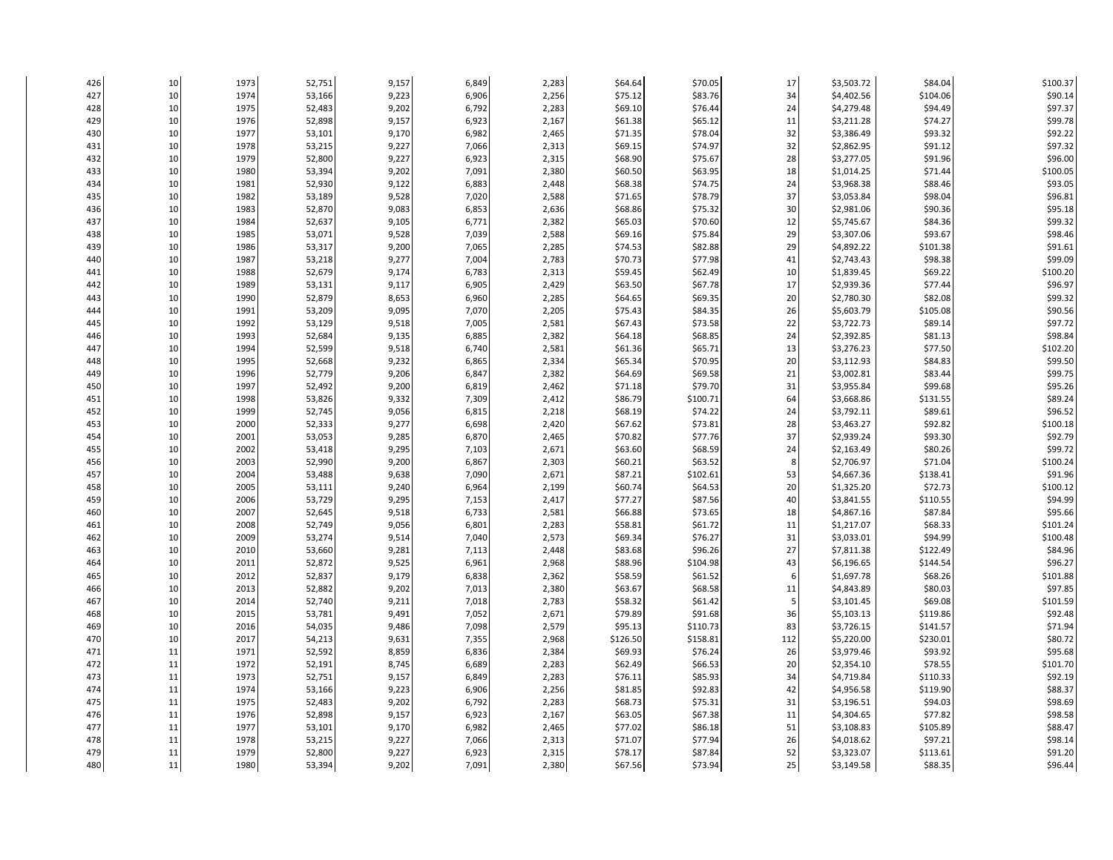| 426 | 10       | 1973 | 52,751 | 9,157 | 6,849 | 2,283 | \$64.64  | \$70.05  | 17  | \$3,503.72 | \$84.04  | \$100.37 |
|-----|----------|------|--------|-------|-------|-------|----------|----------|-----|------------|----------|----------|
| 427 | 10       | 1974 | 53,166 | 9,223 | 6,906 | 2,256 | \$75.12  | \$83.76  | 34  | \$4,402.56 | \$104.06 | \$90.14  |
| 428 | 10       | 1975 | 52,483 | 9,202 | 6,792 | 2,283 | \$69.10  | \$76.44  | 24  | \$4,279.48 | \$94.49  | \$97.37  |
| 429 | 10       | 1976 | 52,898 | 9,157 | 6,923 | 2,167 | \$61.38  | \$65.12  | 11  | \$3,211.28 | \$74.27  | \$99.78  |
| 430 | 10       | 1977 | 53,101 | 9,170 | 6,982 | 2,465 | \$71.35  | \$78.04  | 32  | \$3,386.49 | \$93.32  | \$92.22  |
| 431 | 10       | 1978 | 53,215 | 9,227 | 7,066 | 2,313 | \$69.15  | \$74.97  | 32  | \$2,862.95 | \$91.12  | \$97.32  |
| 432 | 10       | 1979 | 52,800 | 9,227 | 6,923 | 2,315 | \$68.90  | \$75.67  | 28  | \$3,277.05 | \$91.96  | \$96.00  |
| 433 | 10       | 1980 | 53,394 | 9,202 | 7,091 | 2,380 | \$60.50  | \$63.95  | 18  | \$1,014.25 | \$71.44  | \$100.05 |
| 434 | 10       | 1981 | 52,930 | 9,122 | 6,883 | 2,448 | \$68.38  | \$74.75  | 24  | \$3,968.38 | \$88.46  | \$93.05  |
| 435 | 10       | 1982 | 53,189 | 9,528 | 7,020 | 2,588 | \$71.65  | \$78.79  | 37  | \$3,053.84 | \$98.04  | \$96.81  |
| 436 | 10       | 1983 | 52,870 | 9,083 | 6,853 | 2,636 | \$68.86  | \$75.32  | 30  | \$2,981.06 | \$90.36  | \$95.18  |
| 437 | 10       | 1984 | 52,637 | 9,105 | 6,771 | 2,382 | \$65.03  | \$70.60  | 12  | \$5,745.67 | \$84.36  | \$99.32  |
| 438 | 10       | 1985 | 53,071 | 9,528 | 7,039 | 2,588 | \$69.16  | \$75.84  | 29  | \$3,307.06 | \$93.67  | \$98.46  |
| 439 | 10       | 1986 | 53,317 | 9,200 | 7,065 | 2,285 | \$74.53  | \$82.88  | 29  | \$4,892.22 | \$101.38 | \$91.61  |
| 440 | 10       | 1987 | 53,218 | 9,277 | 7,004 | 2,783 | \$70.73  | \$77.98  | 41  | \$2,743.43 | \$98.38  | \$99.09  |
| 441 | 10       | 1988 | 52,679 | 9,174 | 6,783 | 2,313 | \$59.45  | \$62.49  | 10  | \$1,839.45 | \$69.22  | \$100.20 |
| 442 | 10       | 1989 | 53,131 | 9,117 | 6,905 | 2,429 | \$63.50  | \$67.78  | 17  | \$2,939.36 | \$77.44  | \$96.97  |
| 443 | 10       | 1990 | 52,879 | 8,653 | 6,960 | 2,285 | \$64.65  | \$69.35  | 20  | \$2,780.30 | \$82.08  | \$99.32  |
| 444 | 10       | 1991 | 53,209 | 9,095 | 7,070 | 2,205 | \$75.43  | \$84.35  | 26  | \$5,603.79 | \$105.08 | \$90.56  |
| 445 | 10       | 1992 | 53,129 | 9,518 | 7,005 | 2,581 | \$67.43  | \$73.58  | 22  | \$3,722.73 | \$89.14  | \$97.72  |
|     |          | 1993 |        |       |       |       | \$64.18  | \$68.85  | 24  | \$2,392.85 | \$81.13  | \$98.84  |
| 446 | 10<br>10 |      | 52,684 | 9,135 | 6,885 | 2,382 |          |          |     |            |          |          |
| 447 |          | 1994 | 52,599 | 9,518 | 6,740 | 2,581 | \$61.36  | \$65.71  | 13  | \$3,276.23 | \$77.50  | \$102.20 |
| 448 | 10       | 1995 | 52,668 | 9,232 | 6,865 | 2,334 | \$65.34  | \$70.95  | 20  | \$3,112.93 | \$84.83  | \$99.50  |
| 449 | 10       | 1996 | 52,779 | 9,206 | 6,847 | 2,382 | \$64.69  | \$69.58  | 21  | \$3,002.81 | \$83.44  | \$99.75  |
| 450 | 10       | 1997 | 52,492 | 9,200 | 6,819 | 2,462 | \$71.18  | \$79.70  | 31  | \$3,955.84 | \$99.68  | \$95.26  |
| 451 | 10       | 1998 | 53,826 | 9,332 | 7,309 | 2,412 | \$86.79  | \$100.71 | 64  | \$3,668.86 | \$131.55 | \$89.24  |
| 452 | 10       | 1999 | 52,745 | 9,056 | 6,815 | 2,218 | \$68.19  | \$74.22  | 24  | \$3,792.11 | \$89.61  | \$96.52  |
| 453 | 10       | 2000 | 52,333 | 9,277 | 6,698 | 2,420 | \$67.62  | \$73.81  | 28  | \$3,463.27 | \$92.82  | \$100.18 |
| 454 | 10       | 2001 | 53,053 | 9,285 | 6,870 | 2,465 | \$70.82  | \$77.76  | 37  | \$2,939.24 | \$93.30  | \$92.79  |
| 455 | 10       | 2002 | 53,418 | 9,295 | 7,103 | 2,671 | \$63.60  | \$68.59  | 24  | \$2,163.49 | \$80.26  | \$99.72  |
| 456 | 10       | 2003 | 52,990 | 9,200 | 6,867 | 2,303 | \$60.21  | \$63.52  | 8   | \$2,706.97 | \$71.04  | \$100.24 |
| 457 | 10       | 2004 | 53,488 | 9,638 | 7,090 | 2,671 | \$87.21  | \$102.61 | 53  | \$4,667.36 | \$138.41 | \$91.96  |
| 458 | 10       | 2005 | 53,111 | 9,240 | 6,964 | 2,199 | \$60.74  | \$64.53  | 20  | \$1,325.20 | \$72.73  | \$100.12 |
| 459 | 10       | 2006 | 53,729 | 9,295 | 7,153 | 2,417 | \$77.27  | \$87.56  | 40  | \$3,841.55 | \$110.55 | \$94.99  |
| 460 | 10       | 2007 | 52,645 | 9,518 | 6,733 | 2,581 | \$66.88  | \$73.65  | 18  | \$4,867.16 | \$87.84  | \$95.66  |
| 461 | 10       | 2008 | 52,749 | 9,056 | 6,801 | 2,283 | \$58.81  | \$61.72  | 11  | \$1,217.07 | \$68.33  | \$101.24 |
| 462 | 10       | 2009 | 53,274 | 9,514 | 7,040 | 2,573 | \$69.34  | \$76.27  | 31  | \$3,033.01 | \$94.99  | \$100.48 |
| 463 | 10       | 2010 | 53,660 | 9,281 | 7,113 | 2,448 | \$83.68  | \$96.26  | 27  | \$7,811.38 | \$122.49 | \$84.96  |
| 464 | 10       | 2011 | 52,872 | 9,525 | 6,961 | 2,968 | \$88.96  | \$104.98 | 43  | \$6,196.65 | \$144.54 | \$96.27  |
| 465 | 10       | 2012 | 52,837 | 9,179 | 6,838 | 2,362 | \$58.59  | \$61.52  | 6   | \$1,697.78 | \$68.26  | \$101.88 |
| 466 | 10       | 2013 | 52,882 | 9,202 | 7,013 | 2,380 | \$63.67  | \$68.58  | 11  | \$4,843.89 | \$80.03  | \$97.85  |
| 467 | 10       | 2014 | 52,740 | 9,211 | 7,018 | 2,783 | \$58.32  | \$61.42  | 5   | \$3,101.45 | \$69.08  | \$101.59 |
| 468 | 10       | 2015 | 53,781 | 9,491 | 7,052 | 2,671 | \$79.89  | \$91.68  | 36  | \$5,103.13 | \$119.86 | \$92.48  |
| 469 | 10       | 2016 | 54,035 | 9,486 | 7,098 | 2,579 | \$95.13  | \$110.73 | 83  | \$3,726.15 | \$141.57 | \$71.94  |
| 470 | 10       | 2017 | 54,213 | 9,631 | 7,355 | 2,968 | \$126.50 | \$158.81 | 112 | \$5,220.00 | \$230.01 | \$80.72  |
| 471 | $11\,$   | 1971 | 52,592 | 8,859 | 6,836 | 2,384 | \$69.93  | \$76.24  | 26  | \$3,979.46 | \$93.92  | \$95.68  |
| 472 | $11\,$   | 1972 | 52,191 | 8,745 | 6,689 | 2,283 | \$62.49  | \$66.53  | 20  | \$2,354.10 | \$78.55  | \$101.70 |
| 473 | 11       | 1973 | 52,751 | 9,157 | 6,849 | 2,283 | \$76.11  | \$85.93  | 34  | \$4,719.84 | \$110.33 | \$92.19  |
| 474 | 11       | 1974 | 53,166 | 9,223 | 6,906 | 2,256 | \$81.85  | \$92.83  | 42  | \$4,956.58 | \$119.90 | \$88.37  |
| 475 | $11\,$   | 1975 | 52,483 | 9,202 | 6,792 | 2,283 | \$68.73  | \$75.31  | 31  | \$3,196.51 | \$94.03  | \$98.69  |
| 476 | $11\,$   | 1976 | 52,898 | 9,157 | 6,923 | 2,167 | \$63.05  | \$67.38  | 11  | \$4,304.65 | \$77.82  | \$98.58  |
| 477 | 11       | 1977 | 53,101 | 9,170 | 6,982 | 2,465 | \$77.02  | \$86.18  | 51  | \$3,108.83 | \$105.89 | \$88.47  |
| 478 | 11       | 1978 | 53,215 | 9,227 | 7,066 | 2,313 | \$71.07  | \$77.94  | 26  | \$4,018.62 | \$97.21  | \$98.14  |
| 479 | 11       | 1979 | 52,800 | 9,227 | 6,923 | 2,315 | \$78.17  | \$87.84  | 52  | \$3,323.07 | \$113.61 | \$91.20  |
| 480 | $11\,$   | 1980 | 53,394 | 9,202 | 7,091 | 2,380 | \$67.56  | \$73.94  | 25  | \$3,149.58 | \$88.35  | \$96.44  |